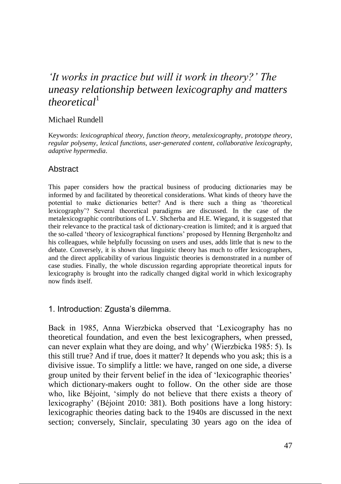# *'It works in practice but will it work in theory?' The uneasy relationship between lexicography and matters theoretical*<sup>1</sup>

#### Michael Rundell

Keywords: *lexicographical theory*, *function theory*, *metalexicography*, *prototype theory*, *regular polysemy*, *lexical functions*, *user-generated content*, *collaborative lexicography*, *adaptive hypermedia*.

#### Abstract

This paper considers how the practical business of producing dictionaries may be informed by and facilitated by theoretical considerations. What kinds of theory have the potential to make dictionaries better? And is there such a thing as 'theoretical lexicography'? Several theoretical paradigms are discussed. In the case of the metalexicographic contributions of L.V. Shcherba and H.E. Wiegand, it is suggested that their relevance to the practical task of dictionary-creation is limited; and it is argued that the so-called 'theory of lexicographical functions' proposed by Henning Bergenholtz and his colleagues, while helpfully focussing on users and uses, adds little that is new to the debate. Conversely, it is shown that linguistic theory has much to offer lexicographers, and the direct applicability of various linguistic theories is demonstrated in a number of case studies. Finally, the whole discussion regarding appropriate theoretical inputs for lexicography is brought into the radically changed digital world in which lexicography now finds itself.

## 1. Introduction: Zgusta's dilemma.

Back in 1985, Anna Wierzbicka observed that 'Lexicography has no theoretical foundation, and even the best lexicographers, when pressed, can never explain what they are doing, and why' (Wierzbicka 1985: 5). Is this still true? And if true, does it matter? It depends who you ask; this is a divisive issue. To simplify a little: we have, ranged on one side, a diverse group united by their fervent belief in the idea of 'lexicographic theories' which dictionary-makers ought to follow. On the other side are those who, like Béjoint, 'simply do not believe that there exists a theory of lexicography' (Béjoint 2010: 381). Both positions have a long history: lexicographic theories dating back to the 1940s are discussed in the next section; conversely, Sinclair, speculating 30 years ago on the idea of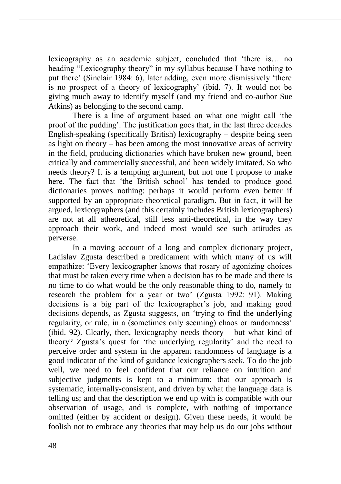lexicography as an academic subject, concluded that 'there is… no heading "Lexicography theory" in my syllabus because I have nothing to put there' (Sinclair 1984: 6), later adding, even more dismissively 'there is no prospect of a theory of lexicography' (ibid. 7). It would not be giving much away to identify myself (and my friend and co-author Sue Atkins) as belonging to the second camp.

There is a line of argument based on what one might call 'the proof of the pudding'. The justification goes that, in the last three decades English-speaking (specifically British) lexicography – despite being seen as light on theory – has been among the most innovative areas of activity in the field, producing dictionaries which have broken new ground, been critically and commercially successful, and been widely imitated. So who needs theory? It is a tempting argument, but not one I propose to make here. The fact that 'the British school' has tended to produce good dictionaries proves nothing: perhaps it would perform even better if supported by an appropriate theoretical paradigm. But in fact, it will be argued, lexicographers (and this certainly includes British lexicographers) are not at all atheoretical, still less anti-theoretical, in the way they approach their work, and indeed most would see such attitudes as perverse.

In a moving account of a long and complex dictionary project, Ladislav Zgusta described a predicament with which many of us will empathize: 'Every lexicographer knows that rosary of agonizing choices that must be taken every time when a decision has to be made and there is no time to do what would be the only reasonable thing to do, namely to research the problem for a year or two' (Zgusta 1992: 91). Making decisions is a big part of the lexicographer's job, and making good decisions depends, as Zgusta suggests, on 'trying to find the underlying regularity, or rule, in a (sometimes only seeming) chaos or randomness' (ibid. 92). Clearly, then, lexicography needs theory – but what kind of theory? Zgusta's quest for 'the underlying regularity' and the need to perceive order and system in the apparent randomness of language is a good indicator of the kind of guidance lexicographers seek. To do the job well, we need to feel confident that our reliance on intuition and subjective judgments is kept to a minimum; that our approach is systematic, internally-consistent, and driven by what the language data is telling us; and that the description we end up with is compatible with our observation of usage, and is complete, with nothing of importance omitted (either by accident or design). Given these needs, it would be foolish not to embrace any theories that may help us do our jobs without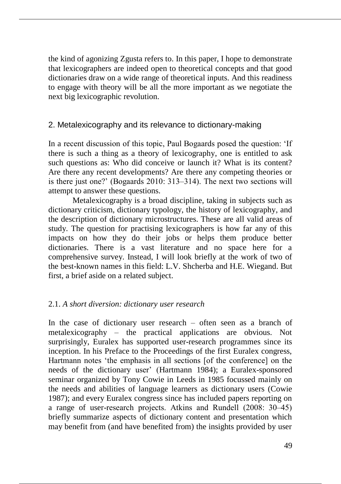the kind of agonizing Zgusta refers to. In this paper, I hope to demonstrate that lexicographers are indeed open to theoretical concepts and that good dictionaries draw on a wide range of theoretical inputs. And this readiness to engage with theory will be all the more important as we negotiate the next big lexicographic revolution.

# 2. Metalexicography and its relevance to dictionary-making

In a recent discussion of this topic, Paul Bogaards posed the question: 'If there is such a thing as a theory of lexicography, one is entitled to ask such questions as: Who did conceive or launch it? What is its content? Are there any recent developments? Are there any competing theories or is there just one?' (Bogaards 2010: 313–314). The next two sections will attempt to answer these questions.

Metalexicography is a broad discipline, taking in subjects such as dictionary criticism, dictionary typology, the history of lexicography, and the description of dictionary microstructures. These are all valid areas of study. The question for practising lexicographers is how far any of this impacts on how they do their jobs or helps them produce better dictionaries. There is a vast literature and no space here for a comprehensive survey. Instead, I will look briefly at the work of two of the best-known names in this field: L.V. Shcherba and H.E. Wiegand. But first, a brief aside on a related subject.

## 2.1. *A short diversion: dictionary user research*

In the case of dictionary user research – often seen as a branch of metalexicography – the practical applications are obvious. Not surprisingly, Euralex has supported user-research programmes since its inception. In his Preface to the Proceedings of the first Euralex congress, Hartmann notes 'the emphasis in all sections [of the conference] on the needs of the dictionary user' (Hartmann 1984); a Euralex-sponsored seminar organized by Tony Cowie in Leeds in 1985 focussed mainly on the needs and abilities of language learners as dictionary users (Cowie 1987); and every Euralex congress since has included papers reporting on a range of user-research projects. Atkins and Rundell (2008: 30–45) briefly summarize aspects of dictionary content and presentation which may benefit from (and have benefited from) the insights provided by user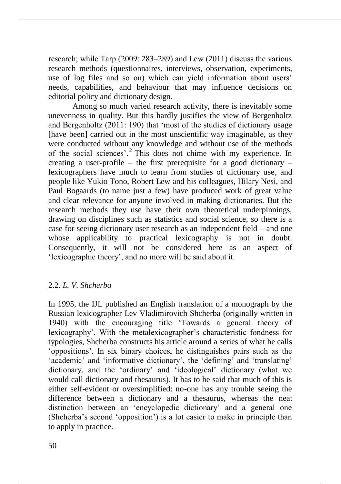research; while Tarp (2009: 283–289) and Lew (2011) discuss the various research methods (questionnaires, interviews, observation, experiments, use of log files and so on) which can yield information about users' needs, capabilities, and behaviour that may influence decisions on editorial policy and dictionary design.

Among so much varied research activity, there is inevitably some unevenness in quality. But this hardly justifies the view of Bergenholtz and Bergenholtz (2011: 190) that 'most of the studies of dictionary usage [have been] carried out in the most unscientific way imaginable, as they were conducted without any knowledge and without use of the methods of the social sciences'.<sup>2</sup> This does not chime with my experience. In creating a user-profile – the first prerequisite for a good dictionary – lexicographers have much to learn from studies of dictionary use, and people like Yukio Tono, Robert Lew and his colleagues, Hilary Nesi, and Paul Bogaards (to name just a few) have produced work of great value and clear relevance for anyone involved in making dictionaries. But the research methods they use have their own theoretical underpinnings, drawing on disciplines such as statistics and social science, so there is a case for seeing dictionary user research as an independent field – and one whose applicability to practical lexicography is not in doubt. Consequently, it will not be considered here as an aspect of 'lexicographic theory', and no more will be said about it.

## 2.2. *L. V. Shcherba*

In 1995, the IJL published an English translation of a monograph by the Russian lexicographer Lev Vladimirovich Shcherba (originally written in 1940) with the encouraging title 'Towards a general theory of lexicography'. With the metalexicographer's characteristic fondness for typologies, Shcherba constructs his article around a series of what he calls 'oppositions'. In six binary choices, he distinguishes pairs such as the 'academic' and 'informative dictionary', the 'defining' and 'translating' dictionary, and the 'ordinary' and 'ideological' dictionary (what we would call dictionary and thesaurus). It has to be said that much of this is either self-evident or oversimplified: no-one has any trouble seeing the difference between a dictionary and a thesaurus, whereas the neat distinction between an 'encyclopedic dictionary' and a general one (Shcherba's second 'opposition') is a lot easier to make in principle than to apply in practice.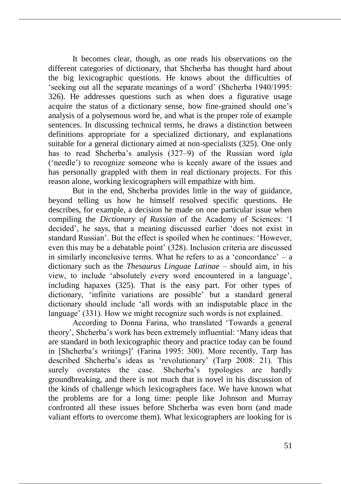It becomes clear, though, as one reads his observations on the different categories of dictionary, that Shcherba has thought hard about the big lexicographic questions. He knows about the difficulties of 'seeking out all the separate meanings of a word' (Shcherba 1940/1995: 326). He addresses questions such as when does a figurative usage acquire the status of a dictionary sense, how fine-grained should one's analysis of a polysemous word be, and what is the proper role of example sentences. In discussing technical terms, he draws a distinction between definitions appropriate for a specialized dictionary, and explanations suitable for a general dictionary aimed at non-specialists (325). One only has to read Shcherba's analysis (327‒9) of the Russian word *igla* ('needle') to recognize someone who is keenly aware of the issues and has personally grappled with them in real dictionary projects. For this reason alone, working lexicographers will empathize with him.

But in the end, Shcherba provides little in the way of guidance, beyond telling us how he himself resolved specific questions. He describes, for example, a decision he made on one particular issue when compiling the *Dictionary of Russian* of the Academy of Sciences: 'I decided', he says, that a meaning discussed earlier 'does not exist in standard Russian'. But the effect is spoiled when he continues: 'However, even this may be a debatable point' (328). Inclusion criteria are discussed in similarly inconclusive terms. What he refers to as a 'concordance'  $-$  a dictionary such as the *Thesaurus Linguae Latinae* – should aim, in his view, to include 'absolutely every word encountered in a language', including hapaxes (325). That is the easy part. For other types of dictionary, 'infinite variations are possible' but a standard general dictionary should include 'all words with an indisputable place in the language' (331). How we might recognize such words is not explained.

According to Donna Farina, who translated 'Towards a general theory', Shcherba's work has been extremely influential: 'Many ideas that are standard in both lexicographic theory and practice today can be found in [Shcherba's writings]' (Farina 1995: 300). More recently, Tarp has described Shcherba's ideas as 'revolutionary' (Tarp 2008: 21). This surely overstates the case. Shcherba's typologies are hardly groundbreaking, and there is not much that is novel in his discussion of the kinds of challenge which lexicographers face. We have known what the problems are for a long time: people like Johnson and Murray confronted all these issues before Shcherba was even born (and made valiant efforts to overcome them). What lexicographers are looking for is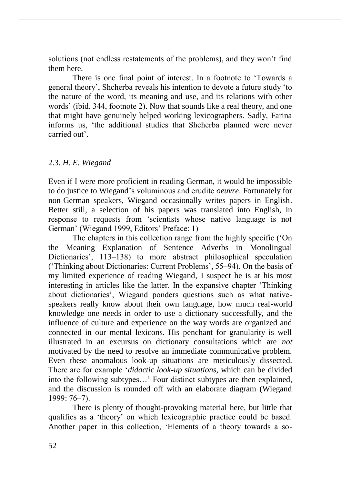solutions (not endless restatements of the problems), and they won't find them here.

There is one final point of interest. In a footnote to 'Towards a general theory', Shcherba reveals his intention to devote a future study 'to the nature of the word, its meaning and use, and its relations with other words' (ibid. 344, footnote 2). Now that sounds like a real theory, and one that might have genuinely helped working lexicographers. Sadly, Farina informs us, 'the additional studies that Shcherba planned were never carried out'.

## 2.3. *H. E. Wiegand*

Even if I were more proficient in reading German, it would be impossible to do justice to Wiegand's voluminous and erudite *oeuvre*. Fortunately for non-German speakers, Wiegand occasionally writes papers in English. Better still, a selection of his papers was translated into English, in response to requests from 'scientists whose native language is not German' (Wiegand 1999, Editors' Preface: 1)

The chapters in this collection range from the highly specific ('On the Meaning Explanation of Sentence Adverbs in Monolingual Dictionaries', 113–138) to more abstract philosophical speculation ('Thinking about Dictionaries: Current Problems', 55‒94). On the basis of my limited experience of reading Wiegand, I suspect he is at his most interesting in articles like the latter. In the expansive chapter 'Thinking about dictionaries', Wiegand ponders questions such as what nativespeakers really know about their own language, how much real-world knowledge one needs in order to use a dictionary successfully, and the influence of culture and experience on the way words are organized and connected in our mental lexicons. His penchant for granularity is well illustrated in an excursus on dictionary consultations which are *not* motivated by the need to resolve an immediate communicative problem. Even these anomalous look-up situations are meticulously dissected. There are for example '*didactic look-up situations*, which can be divided into the following subtypes…' Four distinct subtypes are then explained, and the discussion is rounded off with an elaborate diagram (Wiegand 1999: 76‒7).

There is plenty of thought-provoking material here, but little that qualifies as a 'theory' on which lexicographic practice could be based. Another paper in this collection, 'Elements of a theory towards a so-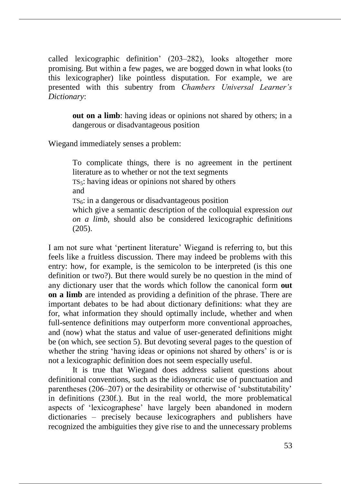called lexicographic definition' (203–282), looks altogether more promising. But within a few pages, we are bogged down in what looks (to this lexicographer) like pointless disputation. For example, we are presented with this subentry from *Chambers Universal Learner's Dictionary*:

**out on a limb**: having ideas or opinions not shared by others; in a dangerous or disadvantageous position

Wiegand immediately senses a problem:

To complicate things, there is no agreement in the pertinent literature as to whether or not the text segments TS5: having ideas or opinions not shared by others and  $TS<sub>6</sub>$ : in a dangerous or disadvantageous position which give a semantic description of the colloquial expression *out on a limb*, should also be considered lexicographic definitions (205).

I am not sure what 'pertinent literature' Wiegand is referring to, but this feels like a fruitless discussion. There may indeed be problems with this entry: how, for example, is the semicolon to be interpreted (is this one definition or two?). But there would surely be no question in the mind of any dictionary user that the words which follow the canonical form **out on a limb** are intended as providing a definition of the phrase. There are important debates to be had about dictionary definitions: what they are for, what information they should optimally include, whether and when full-sentence definitions may outperform more conventional approaches, and (now) what the status and value of user-generated definitions might be (on which, see section 5). But devoting several pages to the question of whether the string 'having ideas or opinions not shared by others' is or is not a lexicographic definition does not seem especially useful.

It is true that Wiegand does address salient questions about definitional conventions, such as the idiosyncratic use of punctuation and parentheses (206‒207) or the desirability or otherwise of 'substitutability' in definitions (230f.). But in the real world, the more problematical aspects of 'lexicographese' have largely been abandoned in modern dictionaries – precisely because lexicographers and publishers have recognized the ambiguities they give rise to and the unnecessary problems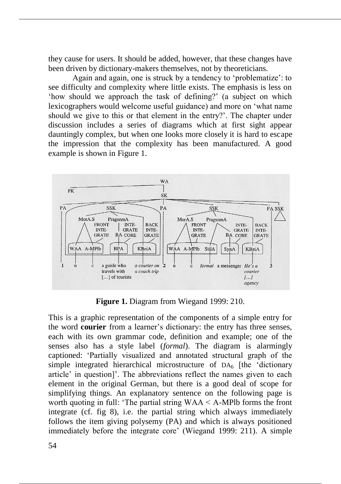they cause for users. It should be added, however, that these changes have been driven by dictionary-makers themselves, not by theoreticians.

Again and again, one is struck by a tendency to 'problematize': to see difficulty and complexity where little exists. The emphasis is less on 'how should we approach the task of defining?' (a subject on which lexicographers would welcome useful guidance) and more on 'what name should we give to this or that element in the entry?'. The chapter under discussion includes a series of diagrams which at first sight appear dauntingly complex, but when one looks more closely it is hard to escape the impression that the complexity has been manufactured. A good example is shown in Figure 1.



**Figure 1.** Diagram from Wiegand 1999: 210.

This is a graphic representation of the components of a simple entry for the word **courier** from a learner's dictionary: the entry has three senses, each with its own grammar code, definition and example; one of the senses also has a style label (*formal*). The diagram is alarmingly captioned: 'Partially visualized and annotated structural graph of the simple integrated hierarchical microstructure of  $DA<sub>6</sub>$  [the 'dictionary article' in question]'. The abbreviations reflect the names given to each element in the original German, but there is a good deal of scope for simplifying things. An explanatory sentence on the following page is worth quoting in full: 'The partial string  $WAA < A$ -MPlb forms the front integrate (cf. fig 8), i.e. the partial string which always immediately follows the item giving polysemy (PA) and which is always positioned immediately before the integrate core' (Wiegand 1999: 211). A simple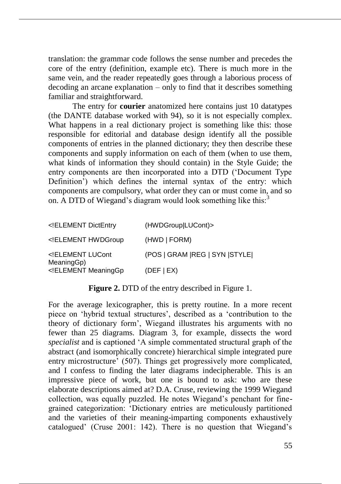translation: the grammar code follows the sense number and precedes the core of the entry (definition, example etc). There is much more in the same vein, and the reader repeatedly goes through a laborious process of decoding an arcane explanation – only to find that it describes something familiar and straightforward.

The entry for **courier** anatomized here contains just 10 datatypes (the DANTE database worked with 94), so it is not especially complex. What happens in a real dictionary project is something like this: those responsible for editorial and database design identify all the possible components of entries in the planned dictionary; they then describe these components and supply information on each of them (when to use them, what kinds of information they should contain) in the Style Guide; the entry components are then incorporated into a DTD ('Document Type Definition') which defines the internal syntax of the entry: which components are compulsory, what order they can or must come in, and so on. A DTD of Wiegand's diagram would look something like this:<sup>3</sup>

| ELEMENT DictEntry</th <th>(HWDGroup LUCont)&gt;</th> | (HWDGroup LUCont)>              |
|------------------------------------------------------|---------------------------------|
| ELEMENT HWDGroup</td <td>(HWD   FORM)</td>           | (HWD   FORM)                    |
| ELEMENT LUCont<br MeaningGp)                         | (POS   GRAM   REG   SYN   STYLE |
| ELEMENT MeaningGp</td <td>(DEF   EX)</td>            | (DEF   EX)                      |

**Figure 2.** DTD of the entry described in Figure 1.

For the average lexicographer, this is pretty routine. In a more recent piece on 'hybrid textual structures', described as a 'contribution to the theory of dictionary form', Wiegand illustrates his arguments with no fewer than 25 diagrams. Diagram 3, for example, dissects the word *specialist* and is captioned 'A simple commentated structural graph of the abstract (and isomorphically concrete) hierarchical simple integrated pure entry microstructure' (507). Things get progressively more complicated, and I confess to finding the later diagrams indecipherable. This is an impressive piece of work, but one is bound to ask: who are these elaborate descriptions aimed at? D.A. Cruse, reviewing the 1999 Wiegand collection, was equally puzzled. He notes Wiegand's penchant for finegrained categorization: 'Dictionary entries are meticulously partitioned and the varieties of their meaning-imparting components exhaustively catalogued' (Cruse 2001: 142). There is no question that Wiegand's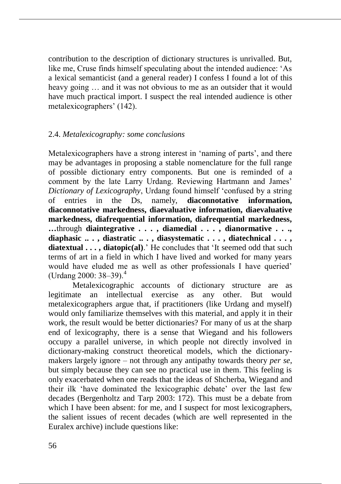contribution to the description of dictionary structures is unrivalled. But, like me, Cruse finds himself speculating about the intended audience: 'As a lexical semanticist (and a general reader) I confess I found a lot of this heavy going … and it was not obvious to me as an outsider that it would have much practical import. I suspect the real intended audience is other metalexicographers' (142).

## 2.4. *Metalexicography: some conclusions*

Metalexicographers have a strong interest in 'naming of parts', and there may be advantages in proposing a stable nomenclature for the full range of possible dictionary entry components. But one is reminded of a comment by the late Larry Urdang. Reviewing Hartmann and James' *Dictionary of Lexicography*, Urdang found himself 'confused by a string of entries in the Ds, namely, **diaconnotative information, diaconnotative markedness, diaevaluative information, diaevaluative markedness, diafrequential information, diafrequential markedness, …**through **diaintegrative . . . , diamedial . . . , dianormative . . ., diaphasic .. . , diastratic .. . , diasystematic . . . , diatechnical . . . , diatextual . . . , diatopic(al)**.' He concludes that 'It seemed odd that such terms of art in a field in which I have lived and worked for many years would have eluded me as well as other professionals I have queried' (Urdang 2000:  $38-39$ ).<sup>4</sup>

Metalexicographic accounts of dictionary structure are as legitimate an intellectual exercise as any other. But would metalexicographers argue that, if practitioners (like Urdang and myself) would only familiarize themselves with this material, and apply it in their work, the result would be better dictionaries? For many of us at the sharp end of lexicography, there is a sense that Wiegand and his followers occupy a parallel universe, in which people not directly involved in dictionary-making construct theoretical models, which the dictionarymakers largely ignore – not through any antipathy towards theory *per se*, but simply because they can see no practical use in them. This feeling is only exacerbated when one reads that the ideas of Shcherba, Wiegand and their ilk 'have dominated the lexicographic debate' over the last few decades (Bergenholtz and Tarp 2003: 172). This must be a debate from which I have been absent: for me, and I suspect for most lexicographers, the salient issues of recent decades (which are well represented in the Euralex archive) include questions like: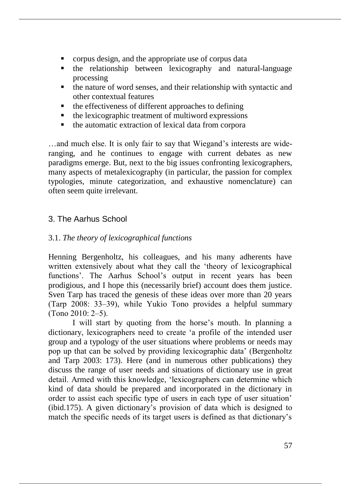- corpus design, and the appropriate use of corpus data
- the relationship between lexicography and natural-language processing
- the nature of word senses, and their relationship with syntactic and other contextual features
- $\blacksquare$  the effectiveness of different approaches to defining
- $\blacksquare$  the lexicographic treatment of multiword expressions
- the automatic extraction of lexical data from corpora

…and much else. It is only fair to say that Wiegand's interests are wideranging, and he continues to engage with current debates as new paradigms emerge. But, next to the big issues confronting lexicographers, many aspects of metalexicography (in particular, the passion for complex typologies, minute categorization, and exhaustive nomenclature) can often seem quite irrelevant.

# 3. The Aarhus School

# 3.1. *The theory of lexicographical functions*

Henning Bergenholtz, his colleagues, and his many adherents have written extensively about what they call the 'theory of lexicographical functions'. The Aarhus School's output in recent years has been prodigious, and I hope this (necessarily brief) account does them justice. Sven Tarp has traced the genesis of these ideas over more than 20 years (Tarp 2008: 33‒39), while Yukio Tono provides a helpful summary  $(Tono 2010: 2–5)$ .

I will start by quoting from the horse's mouth. In planning a dictionary, lexicographers need to create 'a profile of the intended user group and a typology of the user situations where problems or needs may pop up that can be solved by providing lexicographic data' (Bergenholtz and Tarp 2003: 173). Here (and in numerous other publications) they discuss the range of user needs and situations of dictionary use in great detail. Armed with this knowledge, 'lexicographers can determine which kind of data should be prepared and incorporated in the dictionary in order to assist each specific type of users in each type of user situation' (ibid.175). A given dictionary's provision of data which is designed to match the specific needs of its target users is defined as that dictionary's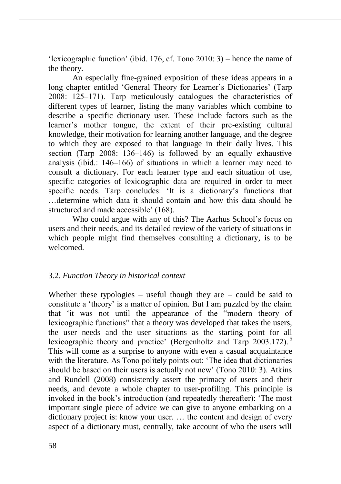'lexicographic function' (ibid. 176, cf. Tono 2010: 3) – hence the name of the theory.

An especially fine-grained exposition of these ideas appears in a long chapter entitled 'General Theory for Learner's Dictionaries' (Tarp 2008: 125–171). Tarp meticulously catalogues the characteristics of different types of learner, listing the many variables which combine to describe a specific dictionary user. These include factors such as the learner's mother tongue, the extent of their pre-existing cultural knowledge, their motivation for learning another language, and the degree to which they are exposed to that language in their daily lives. This section (Tarp  $2008: 136-146$ ) is followed by an equally exhaustive analysis (ibid.: 146–166) of situations in which a learner may need to consult a dictionary. For each learner type and each situation of use, specific categories of lexicographic data are required in order to meet specific needs. Tarp concludes: 'It is a dictionary's functions that …determine which data it should contain and how this data should be structured and made accessible' (168).

Who could argue with any of this? The Aarhus School's focus on users and their needs, and its detailed review of the variety of situations in which people might find themselves consulting a dictionary, is to be welcomed.

## 3.2. *Function Theory in historical context*

Whether these typologies – useful though they are – could be said to constitute a 'theory' is a matter of opinion. But I am puzzled by the claim that 'it was not until the appearance of the "modern theory of lexicographic functions" that a theory was developed that takes the users, the user needs and the user situations as the starting point for all lexicographic theory and practice' (Bergenholtz and Tarp 2003.172). <sup>5</sup> This will come as a surprise to anyone with even a casual acquaintance with the literature. As Tono politely points out: 'The idea that dictionaries should be based on their users is actually not new' (Tono 2010: 3). Atkins and Rundell (2008) consistently assert the primacy of users and their needs, and devote a whole chapter to user-profiling. This principle is invoked in the book's introduction (and repeatedly thereafter): 'The most important single piece of advice we can give to anyone embarking on a dictionary project is: know your user. … the content and design of every aspect of a dictionary must, centrally, take account of who the users will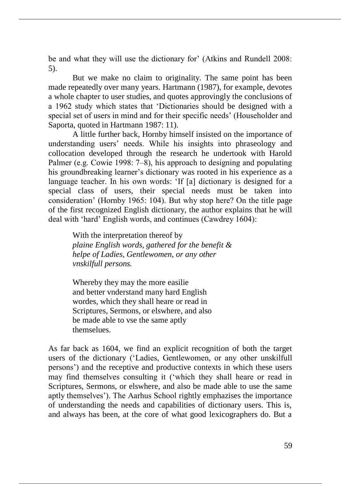be and what they will use the dictionary for' (Atkins and Rundell 2008: 5).

But we make no claim to originality. The same point has been made repeatedly over many years. Hartmann (1987), for example, devotes a whole chapter to user studies, and quotes approvingly the conclusions of a 1962 study which states that 'Dictionaries should be designed with a special set of users in mind and for their specific needs' (Householder and Saporta, quoted in Hartmann 1987: 11).

A little further back, Hornby himself insisted on the importance of understanding users' needs. While his insights into phraseology and collocation developed through the research he undertook with Harold Palmer (e.g. Cowie 1998: 7–8), his approach to designing and populating his groundbreaking learner's dictionary was rooted in his experience as a language teacher. In his own words: 'If [a] dictionary is designed for a special class of users, their special needs must be taken into consideration' (Hornby 1965: 104). But why stop here? On the title page of the first recognized English dictionary, the author explains that he will deal with 'hard' English words, and continues (Cawdrey 1604):

With the interpretation thereof by *plaine English words, gathered for the benefit & helpe of Ladies, Gentlewomen, or any other vnskilfull persons.*

Whereby they may the more easilie and better vnderstand many hard English wordes, which they shall heare or read in Scriptures, Sermons, or elswhere, and also be made able to vse the same aptly themselues.

As far back as 1604, we find an explicit recognition of both the target users of the dictionary ('Ladies, Gentlewomen, or any other unskilfull persons') and the receptive and productive contexts in which these users may find themselves consulting it ('which they shall heare or read in Scriptures, Sermons, or elswhere, and also be made able to use the same aptly themselves'). The Aarhus School rightly emphazises the importance of understanding the needs and capabilities of dictionary users. This is, and always has been, at the core of what good lexicographers do. But a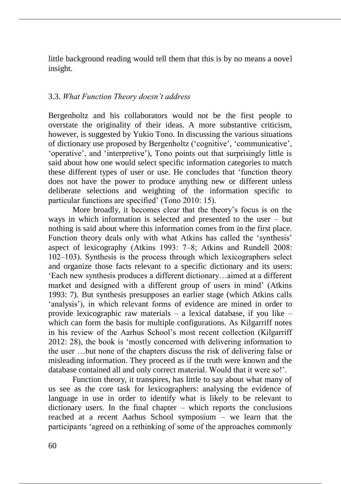little background reading would tell them that this is by no means a novel insight.

## 3.3. *What Function Theory doesn't address*

Bergenholtz and his collaborators would not be the first people to overstate the originality of their ideas. A more substantive criticism, however, is suggested by Yukio Tono. In discussing the various situations of dictionary use proposed by Bergenholtz ('cognitive', 'communicative', 'operative', and 'interpretive'), Tono points out that surprisingly little is said about how one would select specific information categories to match these different types of user or use. He concludes that 'function theory does not have the power to produce anything new or different unless deliberate selections and weighting of the information specific to particular functions are specified' (Tono 2010: 15).

More broadly, it becomes clear that the theory's focus is on the ways in which information is selected and presented to the user – but nothing is said about where this information comes from in the first place. Function theory deals only with what Atkins has called the 'synthesis' aspect of lexicography (Atkins 1993: 7‒8; Atkins and Rundell 2008: 102‒103). Synthesis is the process through which lexicographers select and organize those facts relevant to a specific dictionary and its users: 'Each new synthesis produces a different dictionary…aimed at a different market and designed with a different group of users in mind' (Atkins 1993: 7). But synthesis presupposes an earlier stage (which Atkins calls 'analysis'), in which relevant forms of evidence are mined in order to provide lexicographic raw materials – a lexical database, if you like – which can form the basis for multiple configurations. As Kilgarriff notes in his review of the Aarhus School's most recent collection (Kilgarriff 2012: 28), the book is 'mostly concerned with delivering information to the user …but none of the chapters discuss the risk of delivering false or misleading information. They proceed as if the truth were known and the database contained all and only correct material. Would that it were so!'.

Function theory, it transpires, has little to say about what many of us see as the core task for lexicographers: analysing the evidence of language in use in order to identify what is likely to be relevant to dictionary users. In the final chapter – which reports the conclusions reached at a recent Aarhus School symposium – we learn that the participants 'agreed on a rethinking of some of the approaches commonly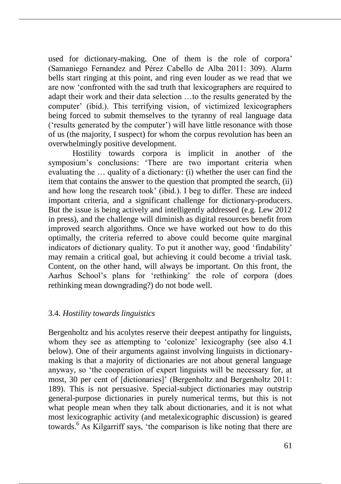used for dictionary-making. One of them is the role of corpora' (Samaniego Fernandez and Pérez Cabello de Alba 2011: 309). Alarm bells start ringing at this point, and ring even louder as we read that we are now 'confronted with the sad truth that lexicographers are required to adapt their work and their data selection …to the results generated by the computer' (ibid.). This terrifying vision, of victimized lexicographers being forced to submit themselves to the tyranny of real language data ('results generated by the computer') will have little resonance with those of us (the majority, I suspect) for whom the corpus revolution has been an overwhelmingly positive development.

Hostility towards corpora is implicit in another of the symposium's conclusions: 'There are two important criteria when evaluating the … quality of a dictionary: (i) whether the user can find the item that contains the answer to the question that prompted the search, (ii) and how long the research took' (ibid.). I beg to differ. These are indeed important criteria, and a significant challenge for dictionary-producers. But the issue is being actively and intelligently addressed (e.g. Lew 2012 in press), and the challenge will diminish as digital resources benefit from improved search algorithms. Once we have worked out how to do this optimally, the criteria referred to above could become quite marginal indicators of dictionary quality. To put it another way, good 'findability' may remain a critical goal, but achieving it could become a trivial task. Content, on the other hand, will always be important. On this front, the Aarhus School's plans for 'rethinking' the role of corpora (does rethinking mean downgrading?) do not bode well.

## 3.4. *Hostility towards linguistics*

Bergenholtz and his acolytes reserve their deepest antipathy for linguists, whom they see as attempting to 'colonize' lexicography (see also 4.1 below). One of their arguments against involving linguists in dictionarymaking is that a majority of dictionaries are not about general language anyway, so 'the cooperation of expert linguists will be necessary for, at most, 30 per cent of [dictionaries]' (Bergenholtz and Bergenholtz 2011: 189). This is not persuasive. Special-subject dictionaries may outstrip general-purpose dictionaries in purely numerical terms, but this is not what people mean when they talk about dictionaries, and it is not what most lexicographic activity (and metalexicographic discussion) is geared towards.<sup>6</sup> As Kilgarriff says, 'the comparison is like noting that there are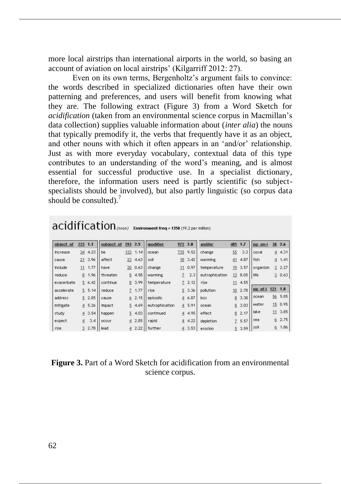more local airstrips than international airports in the world, so basing an account of aviation on local airstrips' (Kilgarriff 2012: 27).

Even on its own terms, Bergenholtz's argument fails to convince: the words described in specialized dictionaries often have their own patterning and preferences, and users will benefit from knowing what they are. The following extract (Figure 3) from a Word Sketch for *acidification* (taken from an environmental science corpus in Macmillan's data collection) supplies valuable information about (*inter alia*) the nouns that typically premodify it, the verbs that frequently have it as an object, and other nouns with which it often appears in an 'and/or' relationship. Just as with more everyday vocabulary, contextual data of this type contributes to an understanding of the word's meaning, and is almost essential for successful productive use. In a specialist dictionary, therefore, the information users need is partly scientific (so subjectspecialists should be involved), but also partly linguistic (so corpus data should be consulted). $<sup>7</sup>$ </sup>

| object of  | 223            | 1.1      | subject of | 293            | 2.5   | modifier       | 972            | 2.0   | and/or         | 405            | 1.7  | pp on-i  | 38             | 2.6  |
|------------|----------------|----------|------------|----------------|-------|----------------|----------------|-------|----------------|----------------|------|----------|----------------|------|
| increase   | 34             | 4.23     | be         | 133            | 1.14  | ocean          | 735            | 9.52  | change         | 55             | 3.3  | coral    | $\overline{4}$ | 4.31 |
| cause      |                | 213.96   | affect     | 23             | 4.63  | soil           | 18             | 3,42  | warming        | 41             | 4.87 | fish     | $\overline{4}$ | 1.41 |
| include    | 11             | 1.77     | have       | 20             | 0.63  | change         | 11             | 0.97  | temperature    | 19             | 3.57 | organism | $\overline{3}$ | 2.27 |
| reduce     | 8              | 1.96     | threaten   | 8              | 4.58  | warming        | 7              | 2.3   | eutrophication | 13             | 8.05 | life     | 3              | 0.63 |
| exacerbate |                | 56.42    | continue   | 8              | 3.99  | temperature    |                | 72.12 | rise           | 11             | 4.55 |          |                |      |
| accelerate |                | 5, 5, 14 | reduce     | 7.             | 1.77  | rise           | 5              | 3.36  | pollution      | 10             | 2.78 | pp of-i  | 121            | 1.8  |
| address    |                | 5 2.85   | cause      | 6.             | 2.15  | episodic       | $\overline{4}$ | 6.87  | loss           | 8              | 3.38 | ocean    | 56             | 5.85 |
| mitigate   |                | 45.26    | impact     | 5              | 4.69  | eutrophication | $\overline{4}$ | 5.91  | ocean          | 8              | 3.03 | water    | 15             | 0.95 |
| study      |                | 43.54    | happen     | 5              | 4.03  | continued      | 4              | 4.95  | effect         | 8              | 2.17 | lake     | 11             | 3.85 |
| expect     | $\overline{4}$ | 3,4      | occur      | $\overline{4}$ | 2.85  | rapid          | 4              | 4.22  | depletion      | $\overline{7}$ | 5.57 | sea      | 6              | 2.75 |
| rise       | $\overline{3}$ | 2.78     | lead       |                | 42.22 | further        | $\overline{4}$ | 3.53  | erosion        | 5              | 3.59 | soil     | ₫              | 1.86 |

# acidification (noun) Environment freq = 1358 (19.2 per million)

| <b>Figure 3.</b> Part of a Word Sketch for acidification from an environmental |                 |  |
|--------------------------------------------------------------------------------|-----------------|--|
|                                                                                | science corpus. |  |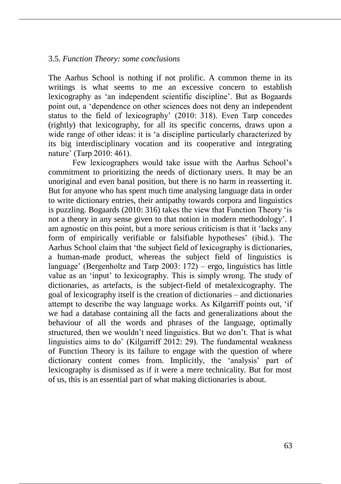#### 3.5. *Function Theory: some conclusions*

The Aarhus School is nothing if not prolific. A common theme in its writings is what seems to me an excessive concern to establish lexicography as 'an independent scientific discipline'. But as Bogaards point out, a 'dependence on other sciences does not deny an independent status to the field of lexicography' (2010: 318). Even Tarp concedes (rightly) that lexicography, for all its specific concerns, draws upon a wide range of other ideas: it is 'a discipline particularly characterized by its big interdisciplinary vocation and its cooperative and integrating nature' (Tarp 2010: 461).

Few lexicographers would take issue with the Aarhus School's commitment to prioritizing the needs of dictionary users. It may be an unoriginal and even banal position, but there is no harm in reasserting it. But for anyone who has spent much time analysing language data in order to write dictionary entries, their antipathy towards corpora and linguistics is puzzling. Bogaards (2010: 316) takes the view that Function Theory 'is not a theory in any sense given to that notion in modern methodology'. I am agnostic on this point, but a more serious criticism is that it 'lacks any form of empirically verifiable or falsifiable hypotheses' (ibid.). The Aarhus School claim that 'the subject field of lexicography is dictionaries, a human-made product, whereas the subject field of linguistics is language' (Bergenholtz and Tarp 2003: 172) – ergo, linguistics has little value as an 'input' to lexicography. This is simply wrong. The study of dictionaries, as artefacts, is the subject-field of metalexicography. The goal of lexicography itself is the creation of dictionaries – and dictionaries attempt to describe the way language works. As Kilgarriff points out, 'if we had a database containing all the facts and generalizations about the behaviour of all the words and phrases of the language, optimally structured, then we wouldn't need linguistics. But we don't. That is what linguistics aims to do' (Kilgarriff 2012: 29). The fundamental weakness of Function Theory is its failure to engage with the question of where dictionary content comes from. Implicitly, the 'analysis' part of lexicography is dismissed as if it were a mere technicality. But for most of us, this is an essential part of what making dictionaries is about.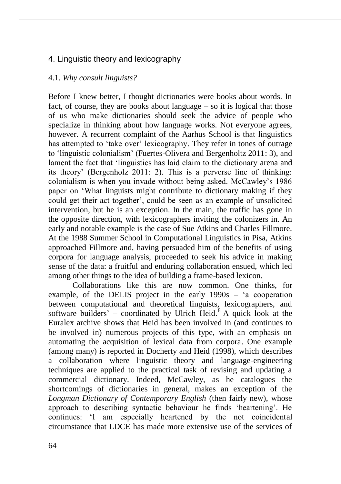# 4. Linguistic theory and lexicography

## 4.1. *Why consult linguists?*

Before I knew better, I thought dictionaries were books about words. In fact, of course, they are books about language – so it is logical that those of us who make dictionaries should seek the advice of people who specialize in thinking about how language works. Not everyone agrees, however. A recurrent complaint of the Aarhus School is that linguistics has attempted to 'take over' lexicography. They refer in tones of outrage to 'linguistic colonialism' (Fuertes-Olivera and Bergenholtz 2011: 3), and lament the fact that 'linguistics has laid claim to the dictionary arena and its theory' (Bergenholz 2011: 2). This is a perverse line of thinking: colonialism is when you invade without being asked. McCawley's 1986 paper on 'What linguists might contribute to dictionary making if they could get their act together', could be seen as an example of unsolicited intervention, but he is an exception. In the main, the traffic has gone in the opposite direction, with lexicographers inviting the colonizers in. An early and notable example is the case of Sue Atkins and Charles Fillmore. At the 1988 Summer School in Computational Linguistics in Pisa, Atkins approached Fillmore and, having persuaded him of the benefits of using corpora for language analysis, proceeded to seek his advice in making sense of the data: a fruitful and enduring collaboration ensued, which led among other things to the idea of building a frame-based lexicon.

Collaborations like this are now common. One thinks, for example, of the DELIS project in the early 1990s – 'a cooperation between computational and theoretical linguists, lexicographers, and software builders' – coordinated by Ulrich Heid.<sup>8</sup> A quick look at the Euralex archive shows that Heid has been involved in (and continues to be involved in) numerous projects of this type, with an emphasis on automating the acquisition of lexical data from corpora. One example (among many) is reported in Docherty and Heid (1998), which describes a collaboration where linguistic theory and language-engineering techniques are applied to the practical task of revising and updating a commercial dictionary. Indeed, McCawley, as he catalogues the shortcomings of dictionaries in general, makes an exception of the *Longman Dictionary of Contemporary English* (then fairly new), whose approach to describing syntactic behaviour he finds 'heartening'. He continues: 'I am especially heartened by the not coincidental circumstance that LDCE has made more extensive use of the services of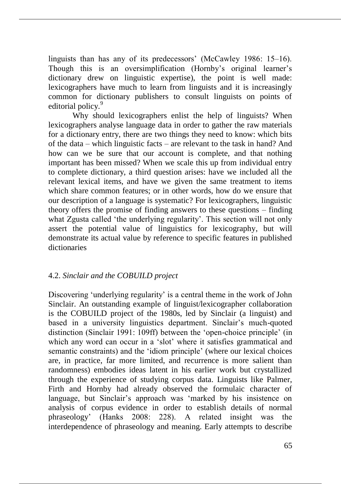linguists than has any of its predecessors' (McCawley 1986: 15–16). Though this is an oversimplification (Hornby's original learner's dictionary drew on linguistic expertise), the point is well made: lexicographers have much to learn from linguists and it is increasingly common for dictionary publishers to consult linguists on points of editorial policy.<sup>9</sup>

Why should lexicographers enlist the help of linguists? When lexicographers analyse language data in order to gather the raw materials for a dictionary entry, there are two things they need to know: which bits of the data – which linguistic facts – are relevant to the task in hand? And how can we be sure that our account is complete, and that nothing important has been missed? When we scale this up from individual entry to complete dictionary, a third question arises: have we included all the relevant lexical items, and have we given the same treatment to items which share common features; or in other words, how do we ensure that our description of a language is systematic? For lexicographers, linguistic theory offers the promise of finding answers to these questions – finding what Zgusta called 'the underlying regularity'. This section will not only assert the potential value of linguistics for lexicography, but will demonstrate its actual value by reference to specific features in published dictionaries

## 4.2. *Sinclair and the COBUILD project*

Discovering 'underlying regularity' is a central theme in the work of John Sinclair. An outstanding example of linguist/lexicographer collaboration is the COBUILD project of the 1980s, led by Sinclair (a linguist) and based in a university linguistics department. Sinclair's much-quoted distinction (Sinclair 1991: 109ff) between the 'open-choice principle' (in which any word can occur in a 'slot' where it satisfies grammatical and semantic constraints) and the 'idiom principle' (where our lexical choices are, in practice, far more limited, and recurrence is more salient than randomness) embodies ideas latent in his earlier work but crystallized through the experience of studying corpus data. Linguists like Palmer, Firth and Hornby had already observed the formulaic character of language, but Sinclair's approach was 'marked by his insistence on analysis of corpus evidence in order to establish details of normal phraseology' (Hanks 2008: 228). A related insight was the interdependence of phraseology and meaning. Early attempts to describe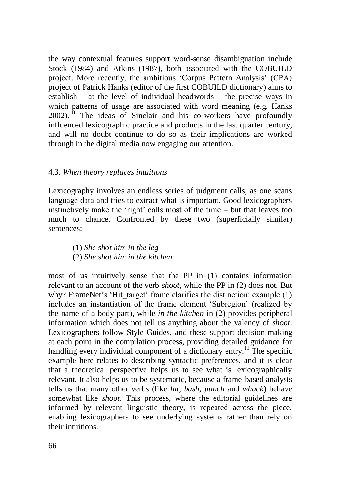the way contextual features support word-sense disambiguation include Stock (1984) and Atkins (1987), both associated with the COBUILD project. More recently, the ambitious 'Corpus Pattern Analysis' (CPA) project of Patrick Hanks (editor of the first COBUILD dictionary) aims to establish – at the level of individual headwords – the precise ways in which patterns of usage are associated with word meaning (e.g. Hanks  $2002$ ). <sup>10</sup> The ideas of Sinclair and his co-workers have profoundly influenced lexicographic practice and products in the last quarter century, and will no doubt continue to do so as their implications are worked through in the digital media now engaging our attention.

#### 4.3. *When theory replaces intuitions*

Lexicography involves an endless series of judgment calls, as one scans language data and tries to extract what is important. Good lexicographers instinctively make the 'right' calls most of the time – but that leaves too much to chance. Confronted by these two (superficially similar) sentences:

(1) *She shot him in the leg* (2) *She shot him in the kitchen*

most of us intuitively sense that the PP in (1) contains information relevant to an account of the verb *shoot*, while the PP in (2) does not. But why? FrameNet's 'Hit target' frame clarifies the distinction: example (1) includes an instantiation of the frame element 'Subregion' (realized by the name of a body-part), while *in the kitchen* in (2) provides peripheral information which does not tell us anything about the valency of *shoot*. Lexicographers follow Style Guides, and these support decision-making at each point in the compilation process, providing detailed guidance for handling every individual component of a dictionary entry.<sup>11</sup> The specific example here relates to describing syntactic preferences, and it is clear that a theoretical perspective helps us to see what is lexicographically relevant. It also helps us to be systematic, because a frame-based analysis tells us that many other verbs (like *hit, bash, punch* and *whack*) behave somewhat like *shoot*. This process, where the editorial guidelines are informed by relevant linguistic theory, is repeated across the piece, enabling lexicographers to see underlying systems rather than rely on their intuitions.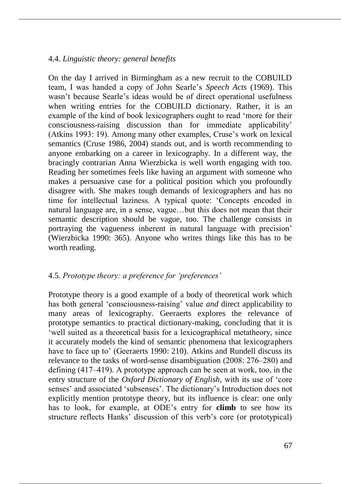## 4.4. *Linguistic theory: general benefits*

On the day I arrived in Birmingham as a new recruit to the COBUILD team, I was handed a copy of John Searle's *Speech Acts* (1969). This wasn't because Searle's ideas would be of direct operational usefulness when writing entries for the COBUILD dictionary. Rather, it is an example of the kind of book lexicographers ought to read 'more for their consciousness-raising discussion than for immediate applicability' (Atkins 1993: 19). Among many other examples, Cruse's work on lexical semantics (Cruse 1986, 2004) stands out, and is worth recommending to anyone embarking on a career in lexicography. In a different way, the bracingly contrarian Anna Wierzbicka is well worth engaging with too. Reading her sometimes feels like having an argument with someone who makes a persuasive case for a political position which you profoundly disagree with. She makes tough demands of lexicographers and has no time for intellectual laziness. A typical quote: 'Concepts encoded in natural language are, in a sense, vague…but this does not mean that their semantic description should be vague, too. The challenge consists in portraying the vagueness inherent in natural language with precision' (Wierzbicka 1990: 365). Anyone who writes things like this has to be worth reading.

# 4.5. *Prototype theory: a preference for 'preferences'*

Prototype theory is a good example of a body of theoretical work which has both general 'consciousness-raising' value *and* direct applicability to many areas of lexicography. Geeraerts explores the relevance of prototype semantics to practical dictionary-making, concluding that it is 'well suited as a theoretical basis for a lexicographical metatheory, since it accurately models the kind of semantic phenomena that lexicographers have to face up to' (Geeraerts 1990: 210). Atkins and Rundell discuss its relevance to the tasks of word-sense disambiguation (2008: 276–280) and defining  $(417-419)$ . A prototype approach can be seen at work, too, in the entry structure of the *Oxford Dictionary of English*, with its use of 'core senses' and associated 'subsenses'. The dictionary's Introduction does not explicitly mention prototype theory, but its influence is clear: one only has to look, for example, at ODE's entry for **climb** to see how its structure reflects Hanks' discussion of this verb's core (or prototypical)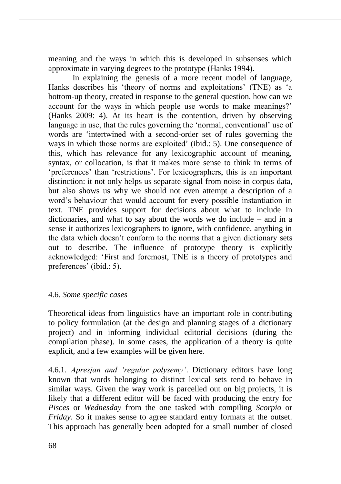meaning and the ways in which this is developed in subsenses which approximate in varying degrees to the prototype (Hanks 1994).

In explaining the genesis of a more recent model of language, Hanks describes his 'theory of norms and exploitations' (TNE) as 'a bottom-up theory, created in response to the general question, how can we account for the ways in which people use words to make meanings?' (Hanks 2009: 4). At its heart is the contention, driven by observing language in use, that the rules governing the 'normal, conventional' use of words are 'intertwined with a second-order set of rules governing the ways in which those norms are exploited' (ibid.: 5). One consequence of this, which has relevance for any lexicographic account of meaning, syntax, or collocation, is that it makes more sense to think in terms of 'preferences' than 'restrictions'. For lexicographers, this is an important distinction: it not only helps us separate signal from noise in corpus data, but also shows us why we should not even attempt a description of a word's behaviour that would account for every possible instantiation in text. TNE provides support for decisions about what to include in dictionaries, and what to say about the words we do include – and in a sense it authorizes lexicographers to ignore, with confidence, anything in the data which doesn't conform to the norms that a given dictionary sets out to describe. The influence of prototype theory is explicitly acknowledged: 'First and foremost, TNE is a theory of prototypes and preferences' (ibid.: 5).

#### 4.6. *Some specific cases*

Theoretical ideas from linguistics have an important role in contributing to policy formulation (at the design and planning stages of a dictionary project) and in informing individual editorial decisions (during the compilation phase). In some cases, the application of a theory is quite explicit, and a few examples will be given here.

4.6.1. *Apresjan and 'regular polysemy'*. Dictionary editors have long known that words belonging to distinct lexical sets tend to behave in similar ways. Given the way work is parcelled out on big projects, it is likely that a different editor will be faced with producing the entry for *Pisces* or *Wednesday* from the one tasked with compiling *Scorpio* or *Friday*. So it makes sense to agree standard entry formats at the outset. This approach has generally been adopted for a small number of closed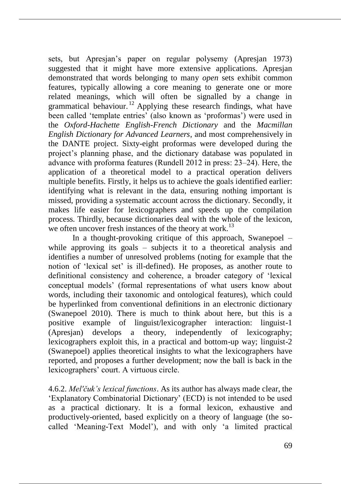sets, but Apresjan's paper on regular polysemy (Apresjan 1973) suggested that it might have more extensive applications. Apresjan demonstrated that words belonging to many *open* sets exhibit common features, typically allowing a core meaning to generate one or more related meanings, which will often be signalled by a change in grammatical behaviour.<sup>12</sup> Applying these research findings, what have been called 'template entries' (also known as 'proformas') were used in the *Oxford-Hachette English-French Dictionary* and the *Macmillan English Dictionary for Advanced Learners*, and most comprehensively in the DANTE project. Sixty-eight proformas were developed during the project's planning phase, and the dictionary database was populated in advance with proforma features (Rundell 2012 in press: 23–24). Here, the application of a theoretical model to a practical operation delivers multiple benefits. Firstly, it helps us to achieve the goals identified earlier: identifying what is relevant in the data, ensuring nothing important is missed, providing a systematic account across the dictionary. Secondly, it makes life easier for lexicographers and speeds up the compilation process. Thirdly, because dictionaries deal with the whole of the lexicon, we often uncover fresh instances of the theory at work.<sup>13</sup>

In a thought-provoking critique of this approach, Swanepoel – while approving its goals – subjects it to a theoretical analysis and identifies a number of unresolved problems (noting for example that the notion of 'lexical set' is ill-defined). He proposes, as another route to definitional consistency and coherence, a broader category of 'lexical conceptual models' (formal representations of what users know about words, including their taxonomic and ontological features), which could be hyperlinked from conventional definitions in an electronic dictionary (Swanepoel 2010). There is much to think about here, but this is a positive example of linguist/lexicographer interaction: linguist-1 (Apresjan) develops a theory, independently of lexicography; lexicographers exploit this, in a practical and bottom-up way; linguist-2 (Swanepoel) applies theoretical insights to what the lexicographers have reported, and proposes a further development; now the ball is back in the lexicographers' court. A virtuous circle.

4.6.2. *Mel'čuk's lexical functions*. As its author has always made clear, the 'Explanatory Combinatorial Dictionary' (ECD) is not intended to be used as a practical dictionary. It is a formal lexicon, exhaustive and productively-oriented, based explicitly on a theory of language (the socalled 'Meaning-Text Model'), and with only 'a limited practical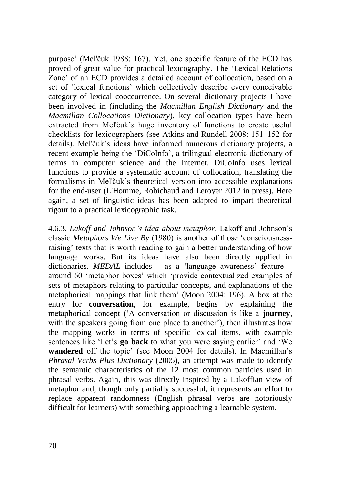purpose' (Mel'čuk 1988: 167). Yet, one specific feature of the ECD has proved of great value for practical lexicography. The 'Lexical Relations Zone' of an ECD provides a detailed account of collocation, based on a set of 'lexical functions' which collectively describe every conceivable category of lexical cooccurrence. On several dictionary projects I have been involved in (including the *Macmillan English Dictionary* and the *Macmillan Collocations Dictionary*), key collocation types have been extracted from Mel'čuk's huge inventory of functions to create useful checklists for lexicographers (see Atkins and Rundell 2008: 151–152 for details). Mel'čuk's ideas have informed numerous dictionary projects, a recent example being the 'DiCoInfo', a trilingual electronic dictionary of terms in computer science and the Internet. DiCoInfo uses lexical functions to provide a systematic account of collocation, translating the formalisms in Mel'čuk's theoretical version into accessible explanations for the end-user (L'Homme, Robichaud and Leroyer 2012 in press). Here again, a set of linguistic ideas has been adapted to impart theoretical rigour to a practical lexicographic task.

4.6.3. *Lakoff and Johnson's idea about metaphor*. Lakoff and Johnson's classic *Metaphors We Live By* (1980) is another of those 'consciousnessraising' texts that is worth reading to gain a better understanding of how language works. But its ideas have also been directly applied in dictionaries. *MEDAL* includes – as a 'language awareness' feature – around 60 'metaphor boxes' which 'provide contextualized examples of sets of metaphors relating to particular concepts, and explanations of the metaphorical mappings that link them' (Moon 2004: 196). A box at the entry for **conversation**, for example, begins by explaining the metaphorical concept ('A conversation or discussion is like a **journey**, with the speakers going from one place to another'), then illustrates how the mapping works in terms of specific lexical items, with example sentences like 'Let's **go back** to what you were saying earlier' and 'We **wandered** off the topic' (see Moon 2004 for details). In Macmillan's *Phrasal Verbs Plus Dictionary* (2005), an attempt was made to identify the semantic characteristics of the 12 most common particles used in phrasal verbs. Again, this was directly inspired by a Lakoffian view of metaphor and, though only partially successful, it represents an effort to replace apparent randomness (English phrasal verbs are notoriously difficult for learners) with something approaching a learnable system.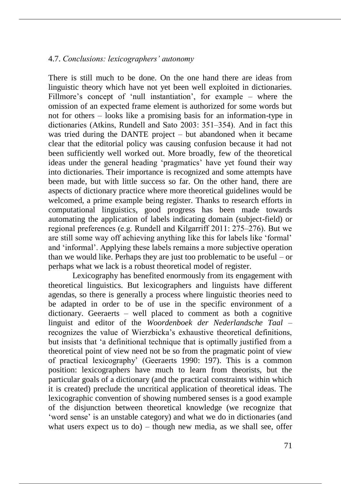#### 4.7. *Conclusions: lexicographers' autonomy*

There is still much to be done. On the one hand there are ideas from linguistic theory which have not yet been well exploited in dictionaries. Fillmore's concept of 'null instantiation', for example – where the omission of an expected frame element is authorized for some words but not for others – looks like a promising basis for an information-type in dictionaries (Atkins, Rundell and Sato 2003: 351–354). And in fact this was tried during the DANTE project – but abandoned when it became clear that the editorial policy was causing confusion because it had not been sufficiently well worked out. More broadly, few of the theoretical ideas under the general heading 'pragmatics' have yet found their way into dictionaries. Their importance is recognized and some attempts have been made, but with little success so far. On the other hand, there are aspects of dictionary practice where more theoretical guidelines would be welcomed, a prime example being register. Thanks to research efforts in computational linguistics, good progress has been made towards automating the application of labels indicating domain (subject-field) or regional preferences (e.g. Rundell and Kilgarriff 2011: 275–276). But we are still some way off achieving anything like this for labels like 'formal' and 'informal'. Applying these labels remains a more subjective operation than we would like. Perhaps they are just too problematic to be useful – or perhaps what we lack is a robust theoretical model of register.

Lexicography has benefited enormously from its engagement with theoretical linguistics. But lexicographers and linguists have different agendas, so there is generally a process where linguistic theories need to be adapted in order to be of use in the specific environment of a dictionary. Geeraerts – well placed to comment as both a cognitive linguist and editor of the *Woordenboek der Nederlandsche Taal* – recognizes the value of Wierzbicka's exhaustive theoretical definitions, but insists that 'a definitional technique that is optimally justified from a theoretical point of view need not be so from the pragmatic point of view of practical lexicography' (Geeraerts 1990: 197). This is a common position: lexicographers have much to learn from theorists, but the particular goals of a dictionary (and the practical constraints within which it is created) preclude the uncritical application of theoretical ideas. The lexicographic convention of showing numbered senses is a good example of the disjunction between theoretical knowledge (we recognize that 'word sense' is an unstable category) and what we do in dictionaries (and what users expect us to  $do$ ) – though new media, as we shall see, offer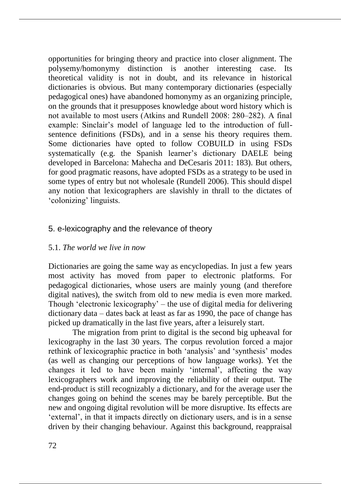opportunities for bringing theory and practice into closer alignment. The polysemy/homonymy distinction is another interesting case. Its theoretical validity is not in doubt, and its relevance in historical dictionaries is obvious. But many contemporary dictionaries (especially pedagogical ones) have abandoned homonymy as an organizing principle, on the grounds that it presupposes knowledge about word history which is not available to most users (Atkins and Rundell 2008: 280–282). A final example: Sinclair's model of language led to the introduction of fullsentence definitions (FSDs), and in a sense his theory requires them. Some dictionaries have opted to follow COBUILD in using FSDs systematically (e.g. the Spanish learner's dictionary DAELE being developed in Barcelona: Mahecha and DeCesaris 2011: 183). But others, for good pragmatic reasons, have adopted FSDs as a strategy to be used in some types of entry but not wholesale (Rundell 2006). This should dispel any notion that lexicographers are slavishly in thrall to the dictates of 'colonizing' linguists.

# 5. e-lexicography and the relevance of theory

## 5.1. *The world we live in now*

Dictionaries are going the same way as encyclopedias. In just a few years most activity has moved from paper to electronic platforms. For pedagogical dictionaries, whose users are mainly young (and therefore digital natives), the switch from old to new media is even more marked. Though 'electronic lexicography' – the use of digital media for delivering dictionary data – dates back at least as far as 1990, the pace of change has picked up dramatically in the last five years, after a leisurely start.

The migration from print to digital is the second big upheaval for lexicography in the last 30 years. The corpus revolution forced a major rethink of lexicographic practice in both 'analysis' and 'synthesis' modes (as well as changing our perceptions of how language works). Yet the changes it led to have been mainly 'internal', affecting the way lexicographers work and improving the reliability of their output. The end-product is still recognizably a dictionary, and for the average user the changes going on behind the scenes may be barely perceptible. But the new and ongoing digital revolution will be more disruptive. Its effects are 'external', in that it impacts directly on dictionary users, and is in a sense driven by their changing behaviour. Against this background, reappraisal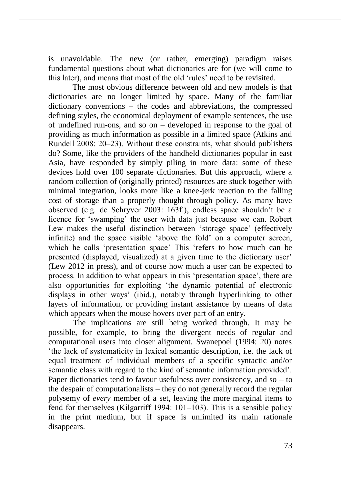is unavoidable. The new (or rather, emerging) paradigm raises fundamental questions about what dictionaries are for (we will come to this later), and means that most of the old 'rules' need to be revisited.

The most obvious difference between old and new models is that dictionaries are no longer limited by space. Many of the familiar dictionary conventions – the codes and abbreviations, the compressed defining styles, the economical deployment of example sentences, the use of undefined run-ons, and so on – developed in response to the goal of providing as much information as possible in a limited space (Atkins and Rundell 2008: 20–23). Without these constraints, what should publishers do? Some, like the providers of the handheld dictionaries popular in east Asia, have responded by simply piling in more data: some of these devices hold over 100 separate dictionaries. But this approach, where a random collection of (originally printed) resources are stuck together with minimal integration, looks more like a knee-jerk reaction to the falling cost of storage than a properly thought-through policy. As many have observed (e.g. de Schryver 2003: 163f.), endless space shouldn't be a licence for 'swamping' the user with data just because we can. Robert Lew makes the useful distinction between 'storage space' (effectively infinite) and the space visible 'above the fold' on a computer screen, which he calls 'presentation space' This 'refers to how much can be presented (displayed, visualized) at a given time to the dictionary user' (Lew 2012 in press), and of course how much a user can be expected to process. In addition to what appears in this 'presentation space', there are also opportunities for exploiting 'the dynamic potential of electronic displays in other ways' (ibid.), notably through hyperlinking to other layers of information, or providing instant assistance by means of data which appears when the mouse hovers over part of an entry.

The implications are still being worked through. It may be possible, for example, to bring the divergent needs of regular and computational users into closer alignment. Swanepoel (1994: 20) notes 'the lack of systematicity in lexical semantic description, i.e. the lack of equal treatment of individual members of a specific syntactic and/or semantic class with regard to the kind of semantic information provided'. Paper dictionaries tend to favour usefulness over consistency, and so  $-$  to the despair of computationalists – they do not generally record the regular polysemy of *every* member of a set, leaving the more marginal items to fend for themselves (Kilgarriff 1994:  $101-103$ ). This is a sensible policy in the print medium, but if space is unlimited its main rationale disappears.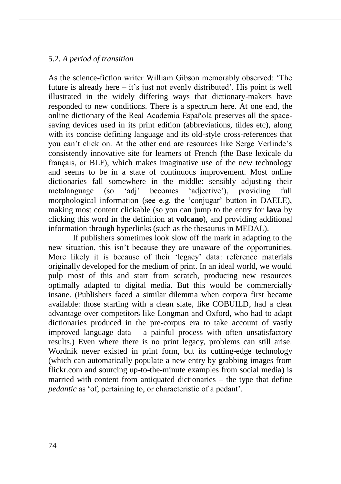## 5.2. *A period of transition*

As the science-fiction writer William Gibson memorably observed: 'The future is already here – it's just not evenly distributed'. His point is well illustrated in the widely differing ways that dictionary-makers have responded to new conditions. There is a spectrum here. At one end, the online dictionary of the Real Academia Española preserves all the spacesaving devices used in its print edition (abbreviations, tildes etc), along with its concise defining language and its old-style cross-references that you can't click on. At the other end are resources like Serge Verlinde's consistently innovative site for learners of French (the Base lexicale du français, or BLF), which makes imaginative use of the new technology and seems to be in a state of continuous improvement. Most online dictionaries fall somewhere in the middle: sensibly adjusting their metalanguage (so 'adj' becomes 'adjective'), providing full morphological information (see e.g. the 'conjugar' button in DAELE), making most content clickable (so you can jump to the entry for **lava** by clicking this word in the definition at **volcano**), and providing additional information through hyperlinks (such as the thesaurus in MEDAL).

If publishers sometimes look slow off the mark in adapting to the new situation, this isn't because they are unaware of the opportunities. More likely it is because of their 'legacy' data: reference materials originally developed for the medium of print. In an ideal world, we would pulp most of this and start from scratch, producing new resources optimally adapted to digital media. But this would be commercially insane. (Publishers faced a similar dilemma when corpora first became available: those starting with a clean slate, like COBUILD, had a clear advantage over competitors like Longman and Oxford, who had to adapt dictionaries produced in the pre-corpus era to take account of vastly improved language data  $-$  a painful process with often unsatisfactory results.) Even where there is no print legacy, problems can still arise. Wordnik never existed in print form, but its cutting-edge technology (which can automatically populate a new entry by grabbing images from flickr.com and sourcing up-to-the-minute examples from social media) is married with content from antiquated dictionaries – the type that define *pedantic* as 'of, pertaining to, or characteristic of a pedant'.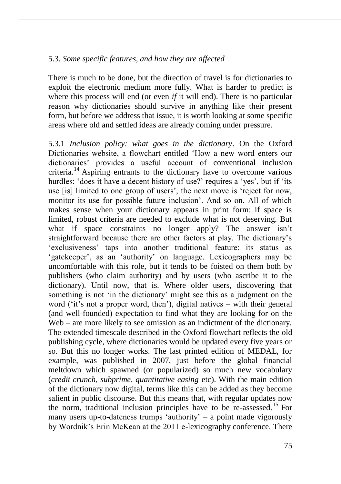## 5.3. *Some specific features, and how they are affected*

There is much to be done, but the direction of travel is for dictionaries to exploit the electronic medium more fully. What is harder to predict is where this process will end (or even *if* it will end). There is no particular reason why dictionaries should survive in anything like their present form, but before we address that issue, it is worth looking at some specific areas where old and settled ideas are already coming under pressure.

5.3.1 *Inclusion policy: what goes in the dictionary*. On the Oxford Dictionaries website, a flowchart entitled 'How a new word enters our dictionaries' provides a useful account of conventional inclusion criteria.<sup>14</sup> Aspiring entrants to the dictionary have to overcome various hurdles: 'does it have a decent history of use?' requires a 'yes', but if 'its use [is] limited to one group of users', the next move is 'reject for now, monitor its use for possible future inclusion'. And so on. All of which makes sense when your dictionary appears in print form: if space is limited, robust criteria are needed to exclude what is not deserving. But what if space constraints no longer apply? The answer isn't straightforward because there are other factors at play. The dictionary's 'exclusiveness' taps into another traditional feature: its status as 'gatekeeper', as an 'authority' on language. Lexicographers may be uncomfortable with this role, but it tends to be foisted on them both by publishers (who claim authority) and by users (who ascribe it to the dictionary). Until now, that is. Where older users, discovering that something is not 'in the dictionary' might see this as a judgment on the word ('it's not a proper word, then'), digital natives – with their general (and well-founded) expectation to find what they are looking for on the Web – are more likely to see omission as an indictment of the dictionary. The extended timescale described in the Oxford flowchart reflects the old publishing cycle, where dictionaries would be updated every five years or so. But this no longer works. The last printed edition of MEDAL, for example, was published in 2007, just before the global financial meltdown which spawned (or popularized) so much new vocabulary (*credit crunch, subprime, quantitative easing* etc). With the main edition of the dictionary now digital, terms like this can be added as they become salient in public discourse. But this means that, with regular updates now the norm, traditional inclusion principles have to be re-assessed.<sup>15</sup> For many users up-to-dateness trumps 'authority'  $-$  a point made vigorously by Wordnik's Erin McKean at the 2011 e-lexicography conference. There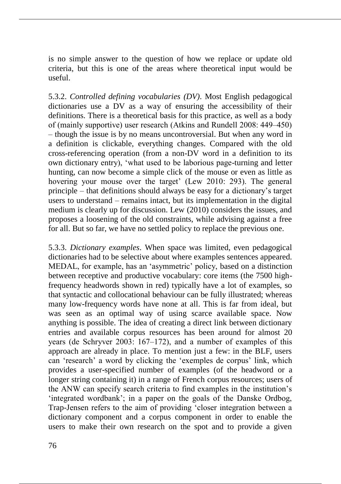is no simple answer to the question of how we replace or update old criteria, but this is one of the areas where theoretical input would be useful.

5.3.2. *Controlled defining vocabularies (DV)*. Most English pedagogical dictionaries use a DV as a way of ensuring the accessibility of their definitions. There is a theoretical basis for this practice, as well as a body of (mainly supportive) user research (Atkins and Rundell 2008: 449‒450) – though the issue is by no means uncontroversial. But when any word in a definition is clickable, everything changes. Compared with the old cross-referencing operation (from a non-DV word in a definition to its own dictionary entry), 'what used to be laborious page-turning and letter hunting, can now become a simple click of the mouse or even as little as hovering your mouse over the target' (Lew 2010: 293). The general principle – that definitions should always be easy for a dictionary's target users to understand – remains intact, but its implementation in the digital medium is clearly up for discussion. Lew (2010) considers the issues, and proposes a loosening of the old constraints, while advising against a free for all. But so far, we have no settled policy to replace the previous one.

5.3.3. *Dictionary examples*. When space was limited, even pedagogical dictionaries had to be selective about where examples sentences appeared. MEDAL, for example, has an 'asymmetric' policy, based on a distinction between receptive and productive vocabulary: core items (the 7500 highfrequency headwords shown in red) typically have a lot of examples, so that syntactic and collocational behaviour can be fully illustrated; whereas many low-frequency words have none at all. This is far from ideal, but was seen as an optimal way of using scarce available space. Now anything is possible. The idea of creating a direct link between dictionary entries and available corpus resources has been around for almost 20 years (de Schryver 2003:  $167-172$ ), and a number of examples of this approach are already in place. To mention just a few: in the BLF, users can 'research' a word by clicking the 'exemples de corpus' link, which provides a user-specified number of examples (of the headword or a longer string containing it) in a range of French corpus resources; users of the ANW can specify search criteria to find examples in the institution's 'integrated wordbank'; in a paper on the goals of the Danske Ordbog, Trap-Jensen refers to the aim of providing 'closer integration between a dictionary component and a corpus component in order to enable the users to make their own research on the spot and to provide a given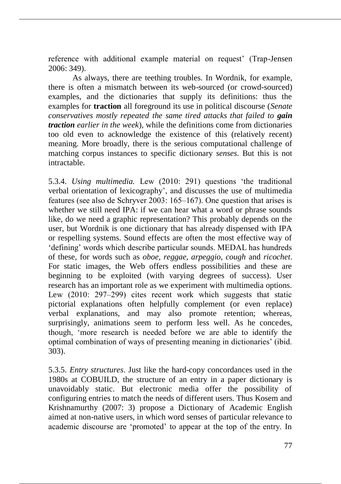reference with additional example material on request' (Trap-Jensen 2006: 349).

As always, there are teething troubles. In Wordnik, for example, there is often a mismatch between its web-sourced (or crowd-sourced) examples, and the dictionaries that supply its definitions: thus the examples for **traction** all foreground its use in political discourse (*Senate conservatives mostly repeated the same tired attacks that failed to gain traction earlier in the week*), while the definitions come from dictionaries too old even to acknowledge the existence of this (relatively recent) meaning. More broadly, there is the serious computational challenge of matching corpus instances to specific dictionary *senses*. But this is not intractable.

5.3.4. *Using multimedia.* Lew (2010: 291) questions 'the traditional verbal orientation of lexicography', and discusses the use of multimedia features (see also de Schryver 2003: 165–167). One question that arises is whether we still need IPA: if we can hear what a word or phrase sounds like, do we need a graphic representation? This probably depends on the user, but Wordnik is one dictionary that has already dispensed with IPA or respelling systems. Sound effects are often the most effective way of 'defining' words which describe particular sounds. MEDAL has hundreds of these, for words such as *oboe, reggae, arpeggio, cough* and *ricochet*. For static images, the Web offers endless possibilities and these are beginning to be exploited (with varying degrees of success). User research has an important role as we experiment with multimedia options. Lew (2010: 297–299) cites recent work which suggests that static pictorial explanations often helpfully complement (or even replace) verbal explanations, and may also promote retention; whereas, surprisingly, animations seem to perform less well. As he concedes, though, 'more research is needed before we are able to identify the optimal combination of ways of presenting meaning in dictionaries' (ibid. 303).

5.3.5. *Entry structures*. Just like the hard-copy concordances used in the 1980s at COBUILD, the structure of an entry in a paper dictionary is unavoidably static. But electronic media offer the possibility of configuring entries to match the needs of different users. Thus Kosem and Krishnamurthy (2007: 3) propose a Dictionary of Academic English aimed at non-native users, in which word senses of particular relevance to academic discourse are 'promoted' to appear at the top of the entry. In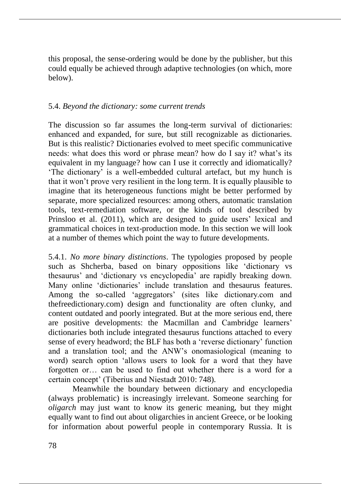this proposal, the sense-ordering would be done by the publisher, but this could equally be achieved through adaptive technologies (on which, more below).

# 5.4. *Beyond the dictionary: some current trends*

The discussion so far assumes the long-term survival of dictionaries: enhanced and expanded, for sure, but still recognizable as dictionaries. But is this realistic? Dictionaries evolved to meet specific communicative needs: what does this word or phrase mean? how do I say it? what's its equivalent in my language? how can I use it correctly and idiomatically? 'The dictionary' is a well-embedded cultural artefact, but my hunch is that it won't prove very resilient in the long term. It is equally plausible to imagine that its heterogeneous functions might be better performed by separate, more specialized resources: among others, automatic translation tools, text-remediation software, or the kinds of tool described by Prinsloo et al. (2011), which are designed to guide users' lexical and grammatical choices in text-production mode. In this section we will look at a number of themes which point the way to future developments.

5.4.1. *No more binary distinctions*. The typologies proposed by people such as Shcherba, based on binary oppositions like 'dictionary vs thesaurus' and 'dictionary vs encyclopedia' are rapidly breaking down. Many online 'dictionaries' include translation and thesaurus features. Among the so-called 'aggregators' (sites like dictionary.com and thefreedictionary.com) design and functionality are often clunky, and content outdated and poorly integrated. But at the more serious end, there are positive developments: the Macmillan and Cambridge learners' dictionaries both include integrated thesaurus functions attached to every sense of every headword; the BLF has both a 'reverse dictionary' function and a translation tool; and the ANW's onomasiological (meaning to word) search option 'allows users to look for a word that they have forgotten or… can be used to find out whether there is a word for a certain concept' (Tiberius and Niestadt 2010: 748).

Meanwhile the boundary between dictionary and encyclopedia (always problematic) is increasingly irrelevant. Someone searching for *oligarch* may just want to know its generic meaning, but they might equally want to find out about oligarchies in ancient Greece, or be looking for information about powerful people in contemporary Russia. It is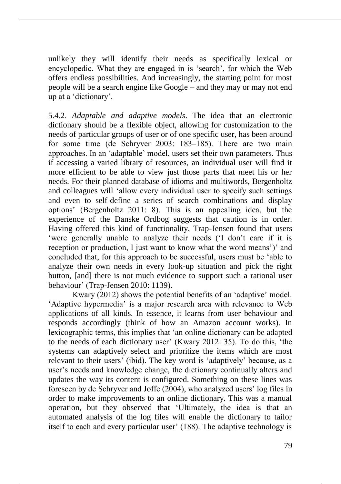unlikely they will identify their needs as specifically lexical or encyclopedic. What they are engaged in is 'search', for which the Web offers endless possibilities. And increasingly, the starting point for most people will be a search engine like Google – and they may or may not end up at a 'dictionary'.

5.4.2. *Adaptable and adaptive models*. The idea that an electronic dictionary should be a flexible object, allowing for customization to the needs of particular groups of user or of one specific user, has been around for some time (de Schryver 2003: 183–185). There are two main approaches. In an 'adaptable' model, users set their own parameters. Thus if accessing a varied library of resources, an individual user will find it more efficient to be able to view just those parts that meet his or her needs. For their planned database of idioms and multiwords, Bergenholtz and colleagues will 'allow every individual user to specify such settings and even to self-define a series of search combinations and display options' (Bergenholtz 2011: 8). This is an appealing idea, but the experience of the Danske Ordbog suggests that caution is in order. Having offered this kind of functionality, Trap-Jensen found that users 'were generally unable to analyze their needs ('I don't care if it is reception or production, I just want to know what the word means')' and concluded that, for this approach to be successful, users must be 'able to analyze their own needs in every look-up situation and pick the right button, [and] there is not much evidence to support such a rational user behaviour' (Trap-Jensen 2010: 1139).

Kwary (2012) shows the potential benefits of an 'adaptive' model. 'Adaptive hypermedia' is a major research area with relevance to Web applications of all kinds. In essence, it learns from user behaviour and responds accordingly (think of how an Amazon account works). In lexicographic terms, this implies that 'an online dictionary can be adapted to the needs of each dictionary user' (Kwary 2012: 35). To do this, 'the systems can adaptively select and prioritize the items which are most relevant to their users' (ibid). The key word is 'adaptively' because, as a user's needs and knowledge change, the dictionary continually alters and updates the way its content is configured. Something on these lines was foreseen by de Schryver and Joffe (2004), who analyzed users' log files in order to make improvements to an online dictionary. This was a manual operation, but they observed that 'Ultimately, the idea is that an automated analysis of the log files will enable the dictionary to tailor itself to each and every particular user' (188). The adaptive technology is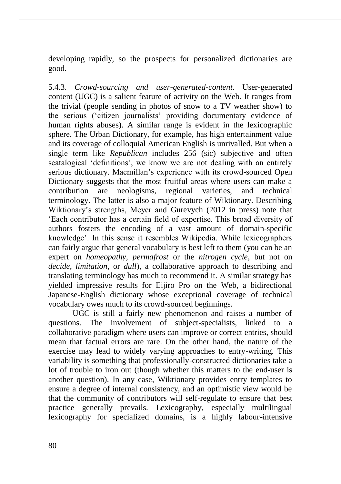developing rapidly, so the prospects for personalized dictionaries are good.

5.4.3. *Crowd-sourcing and user-generated-content*. User-generated content (UGC) is a salient feature of activity on the Web. It ranges from the trivial (people sending in photos of snow to a TV weather show) to the serious ('citizen journalists' providing documentary evidence of human rights abuses). A similar range is evident in the lexicographic sphere. The Urban Dictionary, for example, has high entertainment value and its coverage of colloquial American English is unrivalled. But when a single term like *Republican* includes 256 (sic) subjective and often scatalogical 'definitions', we know we are not dealing with an entirely serious dictionary. Macmillan's experience with its crowd-sourced Open Dictionary suggests that the most fruitful areas where users can make a contribution are neologisms, regional varieties, and technical terminology. The latter is also a major feature of Wiktionary. Describing Wiktionary's strengths, Meyer and Gurevych (2012 in press) note that 'Each contributor has a certain field of expertise. This broad diversity of authors fosters the encoding of a vast amount of domain-specific knowledge'. In this sense it resembles Wikipedia. While lexicographers can fairly argue that general vocabulary is best left to them (you can be an expert on *homeopathy, permafrost* or the *nitrogen cycle*, but not on *decide, limitation*, or *dull*), a collaborative approach to describing and translating terminology has much to recommend it. A similar strategy has yielded impressive results for Eijiro Pro on the Web, a bidirectional Japanese-English dictionary whose exceptional coverage of technical vocabulary owes much to its crowd-sourced beginnings.

UGC is still a fairly new phenomenon and raises a number of questions. The involvement of subject-specialists, linked to a collaborative paradigm where users can improve or correct entries, should mean that factual errors are rare. On the other hand, the nature of the exercise may lead to widely varying approaches to entry-writing. This variability is something that professionally-constructed dictionaries take a lot of trouble to iron out (though whether this matters to the end-user is another question). In any case, Wiktionary provides entry templates to ensure a degree of internal consistency, and an optimistic view would be that the community of contributors will self-regulate to ensure that best practice generally prevails. Lexicography, especially multilingual lexicography for specialized domains, is a highly labour-intensive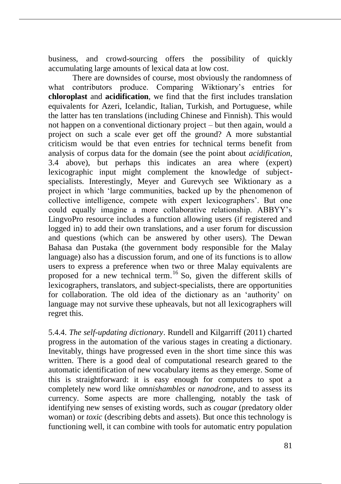business, and crowd-sourcing offers the possibility of quickly accumulating large amounts of lexical data at low cost.

There are downsides of course, most obviously the randomness of what contributors produce. Comparing Wiktionary's entries for **chloroplast** and **acidification**, we find that the first includes translation equivalents for Azeri, Icelandic, Italian, Turkish, and Portuguese, while the latter has ten translations (including Chinese and Finnish). This would not happen on a conventional dictionary project – but then again, would a project on such a scale ever get off the ground? A more substantial criticism would be that even entries for technical terms benefit from analysis of corpus data for the domain (see the point about *acidification*, 3.4 above), but perhaps this indicates an area where (expert) lexicographic input might complement the knowledge of subjectspecialists. Interestingly, Meyer and Gurevych see Wiktionary as a project in which 'large communities, backed up by the phenomenon of collective intelligence, compete with expert lexicographers'. But one could equally imagine a more collaborative relationship. ABBYY's LingvoPro resource includes a function allowing users (if registered and logged in) to add their own translations, and a user forum for discussion and questions (which can be answered by other users). The Dewan Bahasa dan Pustaka (the government body responsible for the Malay language) also has a discussion forum, and one of its functions is to allow users to express a preference when two or three Malay equivalents are proposed for a new technical term.<sup>16</sup> So, given the different skills of lexicographers, translators, and subject-specialists, there are opportunities for collaboration. The old idea of the dictionary as an 'authority' on language may not survive these upheavals, but not all lexicographers will regret this.

5.4.4. *The self-updating dictionary*. Rundell and Kilgarriff (2011) charted progress in the automation of the various stages in creating a dictionary. Inevitably, things have progressed even in the short time since this was written. There is a good deal of computational research geared to the automatic identification of new vocabulary items as they emerge. Some of this is straightforward: it is easy enough for computers to spot a completely new word like *omnishambles* or *nanodrone*, and to assess its currency. Some aspects are more challenging, notably the task of identifying new senses of existing words, such as *cougar* (predatory older woman) or *toxic* (describing debts and assets). But once this technology is functioning well, it can combine with tools for automatic entry population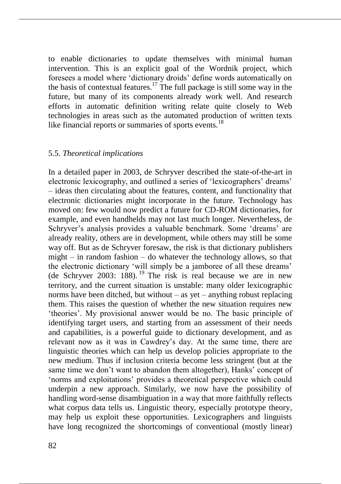to enable dictionaries to update themselves with minimal human intervention. This is an explicit goal of the Wordnik project, which foresees a model where 'dictionary droids' define words automatically on the basis of contextual features.<sup>17</sup> The full package is still some way in the future, but many of its components already work well. And research efforts in automatic definition writing relate quite closely to Web technologies in areas such as the automated production of written texts like financial reports or summaries of sports events.<sup>18</sup>

#### 5.5. *Theoretical implications*

In a detailed paper in 2003, de Schryver described the state-of-the-art in electronic lexicography, and outlined a series of 'lexicographers' dreams' – ideas then circulating about the features, content, and functionality that electronic dictionaries might incorporate in the future. Technology has moved on: few would now predict a future for CD-ROM dictionaries, for example, and even handhelds may not last much longer. Nevertheless, de Schryver's analysis provides a valuable benchmark. Some 'dreams' are already reality, others are in development, while others may still be some way off. But as de Schryver foresaw, the risk is that dictionary publishers might – in random fashion – do whatever the technology allows, so that the electronic dictionary 'will simply be a jamboree of all these dreams' (de Schryver 2003: 188). <sup>19</sup> The risk is real because we are in new territory, and the current situation is unstable: many older lexicographic norms have been ditched, but without – as yet – anything robust replacing them. This raises the question of whether the new situation requires new 'theories'. My provisional answer would be no. The basic principle of identifying target users, and starting from an assessment of their needs and capabilities, is a powerful guide to dictionary development, and as relevant now as it was in Cawdrey's day. At the same time, there are linguistic theories which can help us develop policies appropriate to the new medium. Thus if inclusion criteria become less stringent (but at the same time we don't want to abandon them altogether), Hanks' concept of 'norms and exploitations' provides a theoretical perspective which could underpin a new approach. Similarly, we now have the possibility of handling word-sense disambiguation in a way that more faithfully reflects what corpus data tells us. Linguistic theory, especially prototype theory, may help us exploit these opportunities. Lexicographers and linguists have long recognized the shortcomings of conventional (mostly linear)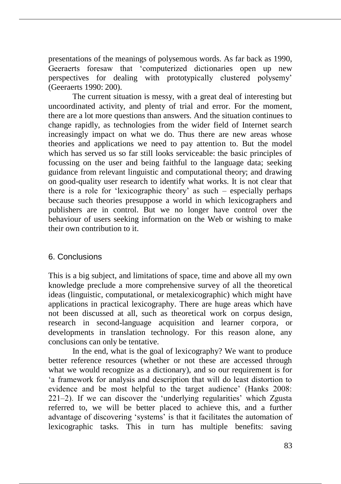presentations of the meanings of polysemous words. As far back as 1990, Geeraerts foresaw that 'computerized dictionaries open up new perspectives for dealing with prototypically clustered polysemy' (Geeraerts 1990: 200).

The current situation is messy, with a great deal of interesting but uncoordinated activity, and plenty of trial and error. For the moment, there are a lot more questions than answers. And the situation continues to change rapidly, as technologies from the wider field of Internet search increasingly impact on what we do. Thus there are new areas whose theories and applications we need to pay attention to. But the model which has served us so far still looks serviceable: the basic principles of focussing on the user and being faithful to the language data; seeking guidance from relevant linguistic and computational theory; and drawing on good-quality user research to identify what works. It is not clear that there is a role for 'lexicographic theory' as such – especially perhaps because such theories presuppose a world in which lexicographers and publishers are in control. But we no longer have control over the behaviour of users seeking information on the Web or wishing to make their own contribution to it.

# 6. Conclusions

This is a big subject, and limitations of space, time and above all my own knowledge preclude a more comprehensive survey of all the theoretical ideas (linguistic, computational, or metalexicographic) which might have applications in practical lexicography. There are huge areas which have not been discussed at all, such as theoretical work on corpus design, research in second-language acquisition and learner corpora, or developments in translation technology. For this reason alone, any conclusions can only be tentative.

In the end, what is the goal of lexicography? We want to produce better reference resources (whether or not these are accessed through what we would recognize as a dictionary), and so our requirement is for 'a framework for analysis and description that will do least distortion to evidence and be most helpful to the target audience' (Hanks 2008: 221‒2). If we can discover the 'underlying regularities' which Zgusta referred to, we will be better placed to achieve this, and a further advantage of discovering 'systems' is that it facilitates the automation of lexicographic tasks. This in turn has multiple benefits: saving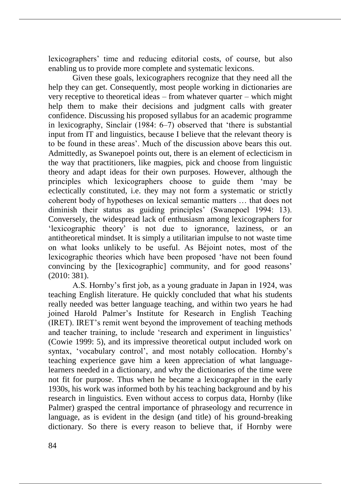lexicographers' time and reducing editorial costs, of course, but also enabling us to provide more complete and systematic lexicons.

Given these goals, lexicographers recognize that they need all the help they can get. Consequently, most people working in dictionaries are very receptive to theoretical ideas – from whatever quarter – which might help them to make their decisions and judgment calls with greater confidence. Discussing his proposed syllabus for an academic programme in lexicography, Sinclair (1984: 6‒7) observed that 'there is substantial input from IT and linguistics, because I believe that the relevant theory is to be found in these areas'. Much of the discussion above bears this out. Admittedly, as Swanepoel points out, there is an element of eclecticism in the way that practitioners, like magpies, pick and choose from linguistic theory and adapt ideas for their own purposes. However, although the principles which lexicographers choose to guide them 'may be eclectically constituted, i.e. they may not form a systematic or strictly coherent body of hypotheses on lexical semantic matters … that does not diminish their status as guiding principles' (Swanepoel 1994: 13). Conversely, the widespread lack of enthusiasm among lexicographers for 'lexicographic theory' is not due to ignorance, laziness, or an antitheoretical mindset. It is simply a utilitarian impulse to not waste time on what looks unlikely to be useful. As Béjoint notes, most of the lexicographic theories which have been proposed 'have not been found convincing by the [lexicographic] community, and for good reasons' (2010: 381).

A.S. Hornby's first job, as a young graduate in Japan in 1924, was teaching English literature. He quickly concluded that what his students really needed was better language teaching, and within two years he had joined Harold Palmer's Institute for Research in English Teaching (IRET). IRET's remit went beyond the improvement of teaching methods and teacher training, to include 'research and experiment in linguistics' (Cowie 1999: 5), and its impressive theoretical output included work on syntax, 'vocabulary control', and most notably collocation. Hornby's teaching experience gave him a keen appreciation of what languagelearners needed in a dictionary, and why the dictionaries of the time were not fit for purpose. Thus when he became a lexicographer in the early 1930s, his work was informed both by his teaching background and by his research in linguistics. Even without access to corpus data, Hornby (like Palmer) grasped the central importance of phraseology and recurrence in language, as is evident in the design (and title) of his ground-breaking dictionary. So there is every reason to believe that, if Hornby were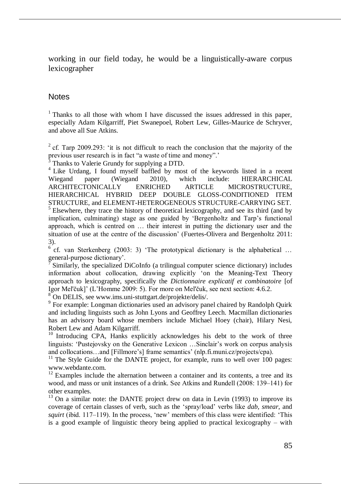working in our field today, he would be a linguistically-aware corpus lexicographer

## **Notes**

 $1$ <sup>1</sup> Thanks to all those with whom I have discussed the issues addressed in this paper, especially Adam Kilgarriff, Piet Swanepoel, Robert Lew, Gilles-Maurice de Schryver, and above all Sue Atkins.

<sup>2</sup> cf. Tarp 2009.293: 'it is not difficult to reach the conclusion that the majority of the previous user research is in fact "a waste of time and money".'

3 Thanks to Valerie Grundy for supplying a DTD.

<sup>4</sup> Like Urdang, I found myself baffled by most of the keywords listed in a recent Wiegand paper (Wiegand 2010), which include: HIERARCHICAL ARCHITECTONICALLY ENRICHED ARTICLE MICROSTRUCTURE, HIERARCHICAL HYBRID DEEP DOUBLE GLOSS-CONDITIONED ITEM STRUCTURE, and ELEMENT-HETEROGENEOUS STRUCTURE-CARRYING SET. <sup>5</sup> Elsewhere, they trace the history of theoretical lexicography, and see its third (and by implication, culminating) stage as one guided by 'Bergenholtz and Tarp's functional approach, which is centred on … their interest in putting the dictionary user and the situation of use at the centre of the discussion' (Fuertes-Olivera and Bergenholtz 2011: 3).

 $6$  cf. van Sterkenberg (2003: 3) 'The prototypical dictionary is the alphabetical ... general-purpose dictionary'.

7 Similarly, the specialized DiCoInfo (a trilingual computer science dictionary) includes information about collocation, drawing explicitly 'on the Meaning-Text Theory approach to lexicography, specifically the *Dictionnaire explicatif et combinatoire* [of Igor Mel'čuk]' (L'Homme 2009: 5). For more on Mel'čuk, see next section: 4.6.2.

<sup>8</sup> On DELIS, see www.ims.uni-stuttgart.de/projekte/delis/.

<sup>9</sup> For example: Longman dictionaries used an advisory panel chaired by Randolph Quirk and including linguists such as John Lyons and Geoffrey Leech. Macmillan dictionaries has an advisory board whose members include Michael Hoey (chair), Hilary Nesi, Robert Lew and Adam Kilgarriff.

<sup>10</sup> Introducing CPA, Hanks explicitly acknowledges his debt to the work of three linguists: 'Pustejovsky on the Generative Lexicon …Sinclair's work on corpus analysis and collocations…and [Fillmore's] frame semantics' (nlp.fi.muni.cz/projects/cpa).

 $11$  The Style Guide for the DANTE project, for example, runs to well over 100 pages: www.webdante.com.

 $12$  Examples include the alternation between a container and its contents, a tree and its wood, and mass or unit instances of a drink. See Atkins and Rundell (2008: 139–141) for other examples.

<sup>13</sup> On a similar note: the DANTE project drew on data in Levin (1993) to improve its coverage of certain classes of verb, such as the 'spray/load' verbs like *dab, smear*, and *squirt* (ibid. 117–119). In the process, 'new' members of this class were identified: 'This is a good example of linguistic theory being applied to practical lexicography – with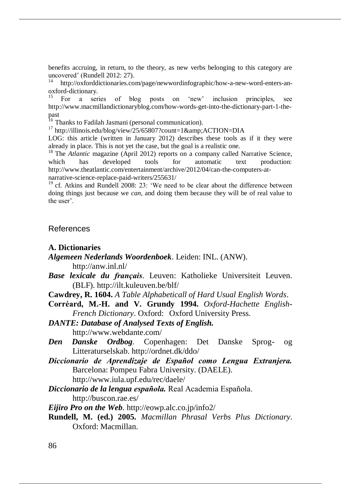benefits accruing, in return, to the theory, as new verbs belonging to this category are uncovered' (Rundell 2012: 27).

<sup>14</sup> http://oxforddictionaries.com/page/newwordinfographic/how-a-new-word-enters-anoxford-dictionary.

<sup>15</sup> For a series of blog posts on 'new' inclusion principles, see http://www.macmillandictionaryblog.com/how-words-get-into-the-dictionary-part-1-thepast

<sup>16</sup> Thanks to Fadilah Jasmani (personal communication).

 $17$  http://illinois.edu/blog/view/25/65807?count=1&ACTION=DIA

LOG: this article (written in January 2012) describes these tools as if it they were already in place. This is not yet the case, but the goal is a realistic one.

<sup>18</sup> The *Atlantic* magazine (April 2012) reports on a company called Narrative Science, which has developed tools for automatic text production: http://www.theatlantic.com/entertainment/archive/2012/04/can-the-computers-atnarrative-science-replace-paid-writers/255631/

<sup>19</sup> cf. Atkins and Rundell 2008: 23: 'We need to be clear about the difference between doing things just because we *can*, and doing them because they will be of real value to the user'.

#### References

#### **A. Dictionaries**

*Algemeen Nederlands Woordenboek*. Leiden: INL. (ANW).

http://anw.inl.nl/

- *Base lexicale du français*. Leuven: Katholieke Universiteit Leuven. (BLF). http://ilt.kuleuven.be/blf/
- **Cawdrey, R. 1604.** *A Table Alphabeticall of Hard Usual English Words*.
- **Corréard, M.-H. and V. Grundy 1994.** *Oxford-Hachette English-French Dictionary*. Oxford: Oxford University Press.

*DANTE: Database of Analysed Texts of English.* http://www.webdante.com/

- *Den Danske Ordbog.* Copenhagen: Det Danske Sprog- og Litteraturselskab. http://ordnet.dk/ddo/
- *Diccionario de Aprendizaje de Español como Lengua Extranjera.*  Barcelona: Pompeu Fabra University. (DAELE). http://www.iula.upf.edu/rec/daele/
- *Diccionario de la lengua española.* Real Academia Española. http://buscon.rae.es/

*Eijiro Pro on the Web.* http://eowp.alc.co.jp/info2/

**Rundell, M. (ed.) 2005.** *Macmillan Phrasal Verbs Plus Dictionary*. Oxford: Macmillan.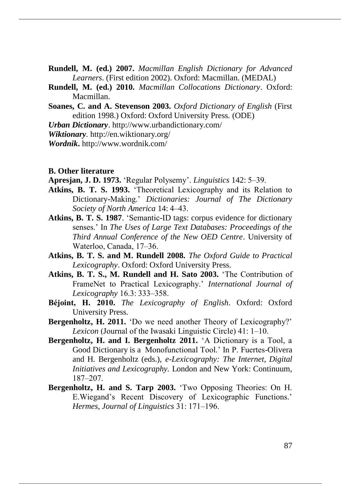- **Rundell, M. (ed.) 2007.** *Macmillan English Dictionary for Advanced Learners*. (First edition 2002). Oxford: Macmillan. (MEDAL)
- **Rundell, M. (ed.) 2010.** *Macmillan Collocations Dictionary*. Oxford: Macmillan.
- **Soanes, C. and A. Stevenson 2003.** *Oxford Dictionary of English* (First edition 1998.) Oxford: Oxford University Press. (ODE)
- *Urban Dictionary*. http://www.urbandictionary.com/
- *Wiktionary.* http://en.wiktionary.org/

*Wordnik***.** http://www.wordnik.com/

#### **B. Other literature**

- **Apresjan, J. D. 1973.** 'Regular Polysemy'. *Linguistics* 142: 5‒39.
- **Atkins, B. T. S. 1993.** 'Theoretical Lexicography and its Relation to Dictionary-Making.' *Dictionaries: Journal of The Dictionary Society of North America* 14: 4–43.
- **Atkins, B. T. S. 1987**. 'Semantic-ID tags: corpus evidence for dictionary senses.' In *The Uses of Large Text Databases: Proceedings of the Third Annual Conference of the New OED Centre*. University of Waterloo, Canada, 17–36.
- **Atkins, B. T. S. and M. Rundell 2008.** *The Oxford Guide to Practical Lexicography*. Oxford: Oxford University Press.
- **Atkins, B. T. S., M. Rundell and H. Sato 2003.** 'The Contribution of FrameNet to Practical Lexicography.' *International Journal of Lexicography* 16.3: 333‒358.
- **Béjoint, H. 2010.** *The Lexicography of English*. Oxford: Oxford University Press.
- **Bergenholtz, H. 2011.** 'Do we need another Theory of Lexicography?' *Lexicon* (Journal of the Iwasaki Linguistic Circle) 41: 1–10.
- **Bergenholtz, H. and I. Bergenholtz 2011.** 'A Dictionary is a Tool, a Good Dictionary is a Monofunctional Tool.' In P. Fuertes-Olivera and H. Bergenholtz (eds.), *e-Lexicography: The Internet, Digital Initiatives and Lexicography.* London and New York: Continuum, 187‒207.
- **Bergenholtz, H. and S. Tarp 2003.** 'Two Opposing Theories: On H. E.Wiegand's Recent Discovery of Lexicographic Functions.' *Hermes, Journal of Linguistics* 31: 171–196.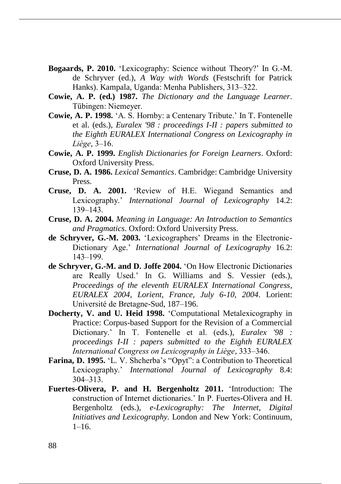- **Bogaards, P. 2010.** 'Lexicography: Science without Theory?' In G.-M. de Schryver (ed.), *A Way with Words* (Festschrift for Patrick Hanks). Kampala, Uganda: Menha Publishers, 313–322.
- **Cowie, A. P. (ed.) 1987.** *The Dictionary and the Language Learner*. Tübingen: Niemeyer.
- **Cowie, A. P. 1998.** 'A. S. Hornby: a Centenary Tribute.' In T. Fontenelle et al. (eds.), *Euralex '98 : proceedings I-II : papers submitted to the Eighth EURALEX International Congress on Lexicography in Liège*, 3‒16.
- **Cowie, A. P. 1999.** *English Dictionaries for Foreign Learners*. Oxford: Oxford University Press.
- **Cruse, D. A. 1986.** *Lexical Semantics*. Cambridge: Cambridge University Press.
- **Cruse, D. A. 2001.** 'Review of H.E. Wiegand Semantics and Lexicography.' *International Journal of Lexicography* 14.2: 139‒143.
- **Cruse, D. A. 2004.** *Meaning in Language: An Introduction to Semantics and Pragmatics*. Oxford: Oxford University Press.
- **de Schryver, G.-M. 2003.** 'Lexicographers' Dreams in the Electronic-Dictionary Age.' *International Journal of Lexicography* 16.2: 143‒199.
- **de Schryver, G.-M. and D. Joffe 2004.** 'On How Electronic Dictionaries are Really Used.' In G. Williams and S. Vessier (eds.), *Proceedings of the eleventh EURALEX International Congress, EURALEX 2004, Lorient, France, July 6-10, 2004*. Lorient: Université de Bretagne-Sud, 187–196.
- **Docherty, V. and U. Heid 1998.** 'Computational Metalexicography in Practice: Corpus-based Support for the Revision of a Commercial Dictionary.' In T. Fontenelle et al. (eds.), *Euralex '98 : proceedings I-II : papers submitted to the Eighth EURALEX International Congress on Lexicography in Liège*, 333‒346.
- **Farina, D. 1995.** 'L. V. Shcherba's "Opyt": a Contribution to Theoretical Lexicography.' *International Journal of Lexicography* 8.4: 304‒313.
- **Fuertes-Olivera, P. and H. Bergenholtz 2011.** 'Introduction: The construction of Internet dictionaries.' In P. Fuertes-Olivera and H. Bergenholtz (eds.), *e-Lexicography: The Internet, Digital Initiatives and Lexicography.* London and New York: Continuum, 1–16.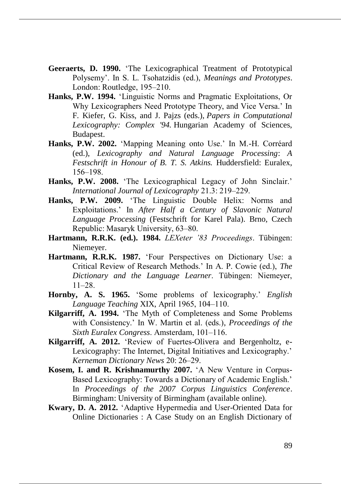- **Geeraerts, D. 1990.** 'The Lexicographical Treatment of Prototypical Polysemy'. In S. L. Tsohatzidis (ed.), *Meanings and Prototypes*. London: Routledge, 195–210.
- **Hanks, P.W. 1994.** 'Linguistic Norms and Pragmatic Exploitations, Or Why Lexicographers Need Prototype Theory, and Vice Versa.' In F. Kiefer, G. Kiss, and J. Pajzs (eds.), *Papers in Computational Lexicography: Complex '94.* Hungarian Academy of Sciences, Budapest.
- **Hanks, P.W. 2002.** 'Mapping Meaning onto Use.' In M.-H. Corréard (ed.), *Lexicography and Natural Language Processing*: *A Festschrift in Honour of B. T. S. Atkins.* Huddersfield: Euralex, 156‒198.
- **Hanks, P.W. 2008.** 'The Lexicographical Legacy of John Sinclair.' *International Journal of Lexicography* 21.3: 219‒229.
- **Hanks, P.W. 2009.** 'The Linguistic Double Helix: Norms and Exploitations.' In *After Half a Century of Slavonic Natural Language Processing* (Festschrift for Karel Pala). Brno, Czech Republic: Masaryk University, 63–80.
- **Hartmann, R.R.K. (ed.). 1984.** *LEXeter '83 Proceedings*. Tübingen: Niemeyer.
- **Hartmann, R.R.K. 1987.** 'Four Perspectives on Dictionary Use: a Critical Review of Research Methods.' In A. P. Cowie (ed.), *The Dictionary and the Language Learner*. Tübingen: Niemeyer,  $11 - 28$
- **Hornby, A. S. 1965.** 'Some problems of lexicography.' *English Language Teaching XIX, April 1965, 104–110.*
- **Kilgarriff, A. 1994.** 'The Myth of Completeness and Some Problems with Consistency.' In W. Martin et al. (eds.), *Proceedings of the Sixth Euralex Congress.* Amsterdam, 101–116.
- **Kilgarriff, A. 2012.** 'Review of Fuertes-Olivera and Bergenholtz, e-Lexicography: The Internet, Digital Initiatives and Lexicography.' *Kerneman Dictionary News* 20: 26‒29.
- **Kosem, I. and R. Krishnamurthy 2007.** 'A New Venture in Corpus-Based Lexicography: Towards a Dictionary of Academic English.' In *Proceedings of the 2007 Corpus Linguistics Conference*. Birmingham: University of Birmingham (available online).
- **Kwary, D. A. 2012.** 'Adaptive Hypermedia and User-Oriented Data for Online Dictionaries : A Case Study on an English Dictionary of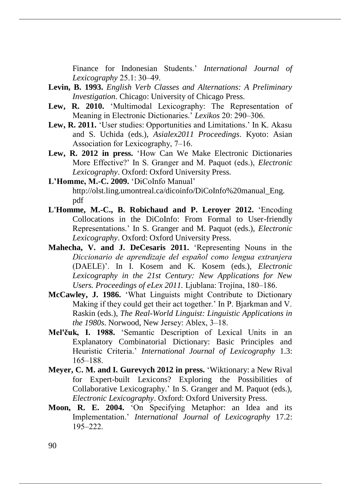Finance for Indonesian Students.' *International Journal of Lexicography* 25.1: 30‒49.

- **Levin, B. 1993.** *English Verb Classes and Alternations: A Preliminary Investigation*. Chicago: University of Chicago Press.
- Lew, R. 2010. 
"Multimodal Lexicography: The Representation of Meaning in Electronic Dictionaries.' *Lexikos* 20: 290‒306.
- **Lew, R. 2011.** 'User studies: Opportunities and Limitations.' In K. Akasu and S. Uchida (eds.), *Asialex2011 Proceedings*. Kyoto: Asian Association for Lexicography, 7–16.
- **Lew, R. 2012 in press.** 'How Can We Make Electronic Dictionaries More Effective?' In S. Granger and M. Paquot (eds.), *Electronic Lexicography*. Oxford: Oxford University Press.

**L'Homme, M.-C. 2009.** 'DiCoInfo Manual' http://olst.ling.umontreal.ca/dicoinfo/DiCoInfo%20manual\_Eng. pdf

- **L'Homme, M.-C., B. Robichaud and P. Leroyer 2012.** 'Encoding Collocations in the DiCoInfo: From Formal to User-friendly Representations.' In S. Granger and M. Paquot (eds.), *Electronic Lexicography*. Oxford: Oxford University Press.
- **Mahecha, V. and J. DeCesaris 2011.** 'Representing Nouns in the *Diccionario de aprendizaje del español como lengua extranjera* (DAELE)'. In I. Kosem and K. Kosem (eds.), *Electronic Lexicography in the 21st Century: New Applications for New Users. Proceedings of eLex 2011.* Ljublana: Trojína, 180–186.
- **McCawley, J. 1986.** 'What Linguists might Contribute to Dictionary Making if they could get their act together.' In P. Bjarkman and V. Raskin (eds.), *The Real-World Linguist: Linguistic Applications in the 1980s*. Norwood, New Jersey: Ablex, 3–18.
- **Mel'čuk, I. 1988.** 'Semantic Description of Lexical Units in an Explanatory Combinatorial Dictionary: Basic Principles and Heuristic Criteria.' *International Journal of Lexicography* 1.3: 165‒188.
- **Meyer, C. M. and I. Gurevych 2012 in press.** 'Wiktionary: a New Rival for Expert-built Lexicons? Exploring the Possibilities of Collaborative Lexicography.' In S. Granger and M. Paquot (eds.), *Electronic Lexicography*. Oxford: Oxford University Press.
- **Moon, R. E. 2004.** 'On Specifying Metaphor: an Idea and its Implementation.' *International Journal of Lexicography* 17.2: 195‒222.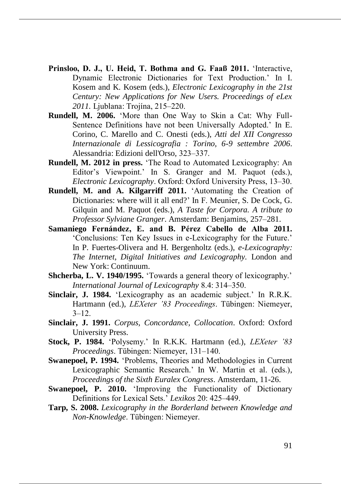- **Prinsloo, D. J., U. Heid, T. Bothma and G. Faaß 2011.** 'Interactive, Dynamic Electronic Dictionaries for Text Production.' In I. Kosem and K. Kosem (eds.), *Electronic Lexicography in the 21st Century: New Applications for New Users. Proceedings of eLex*  2011. Ljublana: Trojína, 215–220.
- **Rundell, M. 2006.** 'More than One Way to Skin a Cat: Why Full-Sentence Definitions have not been Universally Adopted.' In E. Corino, C. Marello and C. Onesti (eds.), *Atti del XII Congresso Internazionale di Lessicografia : Torino, 6-9 settembre 2006*. Alessandria: Edizioni dell'Orso, 323–337.
- **Rundell, M. 2012 in press.** 'The Road to Automated Lexicography: An Editor's Viewpoint.' In S. Granger and M. Paquot (eds.), *Electronic Lexicography*. Oxford: Oxford University Press, 13‒30.
- **Rundell, M. and A. Kilgarriff 2011.** 'Automating the Creation of Dictionaries: where will it all end?' In F. Meunier, S. De Cock, G. Gilquin and M. Paquot (eds.), *A Taste for Corpora. A tribute to Professor Sylviane Granger. Amsterdam: Benjamins, 257–281.*
- **Samaniego Fernández, E. and B. Pérez Cabello de Alba 2011.** 'Conclusions: Ten Key Issues in e-Lexicography for the Future.' In P. Fuertes-Olivera and H. Bergenholtz (eds.), *e-Lexicography: The Internet, Digital Initiatives and Lexicography.* London and New York: Continuum.
- **Shcherba, L. V. 1940/1995.** 'Towards a general theory of lexicography.' *International Journal of Lexicography* 8.4: 314‒350.
- **Sinclair, J. 1984.** 'Lexicography as an academic subject.' In R.R.K. Hartmann (ed.), *LEXeter '83 Proceedings*. Tübingen: Niemeyer,  $3 - 12$ .
- **Sinclair, J. 1991.** *Corpus, Concordance, Collocation*. Oxford: Oxford University Press.
- **Stock, P. 1984.** 'Polysemy.' In R.K.K. Hartmann (ed.), *LEXeter '83 Proceedings.* Tübingen: Niemeyer, 131–140.
- **Swanepoel, P. 1994.** 'Problems, Theories and Methodologies in Current Lexicographic Semantic Research.' In W. Martin et al. (eds.), *Proceedings of the Sixth Euralex Congress*. Amsterdam, 11-26.
- **Swanepoel, P. 2010.** 'Improving the Functionality of Dictionary Definitions for Lexical Sets.' *Lexikos* 20: 425–449.
- **Tarp, S. 2008.** *Lexicography in the Borderland between Knowledge and Non-Knowledge*. Tübingen: Niemeyer.